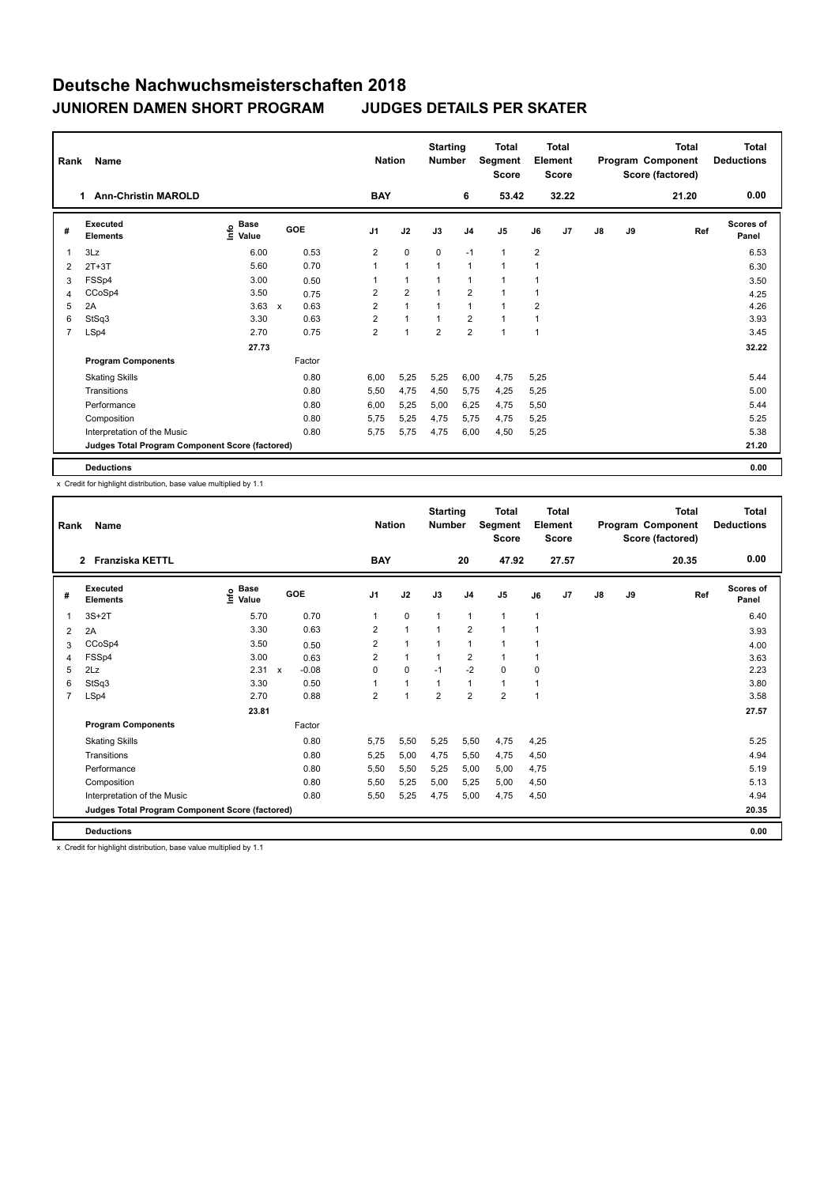| Rank           | Name<br><b>Ann-Christin MAROLD</b><br>1         |                                  |              |        |                | <b>Nation</b>  | <b>Starting</b><br><b>Number</b> |                | <b>Total</b><br>Segment<br><b>Score</b> |                | <b>Total</b><br>Element<br><b>Score</b> |               |    | Total<br>Program Component<br>Score (factored) | <b>Total</b><br><b>Deductions</b> |
|----------------|-------------------------------------------------|----------------------------------|--------------|--------|----------------|----------------|----------------------------------|----------------|-----------------------------------------|----------------|-----------------------------------------|---------------|----|------------------------------------------------|-----------------------------------|
|                |                                                 |                                  |              |        | <b>BAY</b>     |                |                                  | 6              | 53.42                                   |                | 32.22                                   |               |    | 21.20                                          | 0.00                              |
| #              | Executed<br><b>Elements</b>                     | <b>Base</b><br>e Base<br>⊆ Value | GOE          |        | J <sub>1</sub> | J2             | J3                               | J <sub>4</sub> | J <sub>5</sub>                          | J6             | J7                                      | $\mathsf{J}8$ | J9 | Ref                                            | <b>Scores of</b><br>Panel         |
| $\mathbf 1$    | 3Lz                                             | 6.00                             |              | 0.53   | $\overline{2}$ | $\mathbf 0$    | 0                                | $-1$           | $\mathbf{1}$                            | $\overline{2}$ |                                         |               |    |                                                | 6.53                              |
| 2              | $2T+3T$                                         | 5.60                             |              | 0.70   | 1              | $\mathbf{1}$   | $\mathbf{1}$                     | $\mathbf{1}$   | $\mathbf{1}$                            | 1              |                                         |               |    |                                                | 6.30                              |
| 3              | FSSp4                                           | 3.00                             |              | 0.50   |                | $\mathbf{1}$   | $\mathbf{1}$                     | $\mathbf{1}$   | $\mathbf{1}$                            | 1              |                                         |               |    |                                                | 3.50                              |
| 4              | CCoSp4                                          | 3.50                             |              | 0.75   | $\overline{2}$ | $\overline{2}$ |                                  | $\overline{2}$ | $\blacktriangleleft$                    |                |                                         |               |    |                                                | 4.25                              |
| 5              | 2A                                              | 3.63                             | $\mathsf{x}$ | 0.63   | 2              | $\overline{1}$ |                                  | 1              | $\overline{1}$                          | 2              |                                         |               |    |                                                | 4.26                              |
| 6              | StSq3                                           | 3.30                             |              | 0.63   | $\overline{2}$ | $\mathbf{1}$   |                                  | $\overline{2}$ | $\mathbf{1}$                            |                |                                         |               |    |                                                | 3.93                              |
| $\overline{7}$ | LSp4                                            | 2.70                             |              | 0.75   | $\overline{2}$ | $\overline{1}$ | $\overline{2}$                   | $\overline{2}$ | $\mathbf{1}$                            | 1              |                                         |               |    |                                                | 3.45                              |
|                |                                                 | 27.73                            |              |        |                |                |                                  |                |                                         |                |                                         |               |    |                                                | 32.22                             |
|                | <b>Program Components</b>                       |                                  |              | Factor |                |                |                                  |                |                                         |                |                                         |               |    |                                                |                                   |
|                | <b>Skating Skills</b>                           |                                  |              | 0.80   | 6.00           | 5,25           | 5,25                             | 6,00           | 4,75                                    | 5,25           |                                         |               |    |                                                | 5.44                              |
|                | Transitions                                     |                                  |              | 0.80   | 5,50           | 4,75           | 4,50                             | 5,75           | 4,25                                    | 5,25           |                                         |               |    |                                                | 5.00                              |
|                | Performance                                     |                                  |              | 0.80   | 6,00           | 5,25           | 5,00                             | 6,25           | 4,75                                    | 5,50           |                                         |               |    |                                                | 5.44                              |
|                | Composition                                     |                                  |              | 0.80   | 5.75           | 5,25           | 4,75                             | 5,75           | 4,75                                    | 5,25           |                                         |               |    |                                                | 5.25                              |
|                | Interpretation of the Music                     |                                  |              | 0.80   | 5,75           | 5,75           | 4,75                             | 6,00           | 4,50                                    | 5,25           |                                         |               |    |                                                | 5.38                              |
|                | Judges Total Program Component Score (factored) |                                  |              |        |                |                |                                  |                |                                         |                |                                         |               |    |                                                | 21.20                             |
|                | <b>Deductions</b>                               |                                  |              |        |                |                |                                  |                |                                         |                |                                         |               |    |                                                | 0.00                              |

x Credit for highlight distribution, base value multiplied by 1.1

| Rank           | Name                                            |                   |                           |            |                | <b>Nation</b> |                      | <b>Starting</b><br><b>Number</b> |                | <b>Total</b><br>Segment<br><b>Score</b> |      | Total<br>Element<br><b>Score</b> |               |    | <b>Total</b><br>Program Component<br>Score (factored) | <b>Total</b><br><b>Deductions</b> |
|----------------|-------------------------------------------------|-------------------|---------------------------|------------|----------------|---------------|----------------------|----------------------------------|----------------|-----------------------------------------|------|----------------------------------|---------------|----|-------------------------------------------------------|-----------------------------------|
|                | 2 Franziska KETTL                               |                   |                           |            |                | <b>BAY</b>    |                      |                                  | 20             | 47.92                                   |      | 27.57                            |               |    | 20.35                                                 | 0.00                              |
| #              | Executed<br><b>Elements</b>                     | e Base<br>E Value |                           | <b>GOE</b> | J <sub>1</sub> |               | J2                   | J3                               | J <sub>4</sub> | J <sub>5</sub>                          | J6   | J <sub>7</sub>                   | $\mathsf{J}8$ | J9 | Ref                                                   | <b>Scores of</b><br>Panel         |
|                | $3S+2T$                                         | 5.70              |                           | 0.70       | 1              |               | $\mathbf 0$          | $\mathbf{1}$                     | $\mathbf{1}$   | $\mathbf{1}$                            | 1    |                                  |               |    |                                                       | 6.40                              |
| 2              | 2A                                              | 3.30              |                           | 0.63       | $\overline{2}$ |               | $\mathbf{1}$         | $\mathbf{1}$                     | $\overline{2}$ | $\mathbf{1}$                            | 1    |                                  |               |    |                                                       | 3.93                              |
| 3              | CCoSp4                                          | 3.50              |                           | 0.50       | $\overline{2}$ |               | $\mathbf{1}$         | $\mathbf{1}$                     | $\mathbf{1}$   | 1                                       | 1    |                                  |               |    |                                                       | 4.00                              |
| 4              | FSSp4                                           | 3.00              |                           | 0.63       | $\overline{2}$ |               | $\mathbf{1}$         | $\mathbf{1}$                     | $\overline{2}$ | 1                                       | 1    |                                  |               |    |                                                       | 3.63                              |
| 5              | 2Lz                                             | 2.31              | $\boldsymbol{\mathsf{x}}$ | $-0.08$    | 0              |               | 0                    | $-1$                             | $-2$           | 0                                       | 0    |                                  |               |    |                                                       | 2.23                              |
| 6              | StSq3                                           | 3.30              |                           | 0.50       |                |               | $\mathbf{1}$         | $\mathbf{1}$                     | $\mathbf{1}$   | 1                                       | 1    |                                  |               |    |                                                       | 3.80                              |
| $\overline{7}$ | LSp4                                            | 2.70              |                           | 0.88       | $\overline{2}$ |               | $\blacktriangleleft$ | $\overline{2}$                   | $\overline{2}$ | $\overline{2}$                          | 1    |                                  |               |    |                                                       | 3.58                              |
|                |                                                 | 23.81             |                           |            |                |               |                      |                                  |                |                                         |      |                                  |               |    |                                                       | 27.57                             |
|                | <b>Program Components</b>                       |                   |                           | Factor     |                |               |                      |                                  |                |                                         |      |                                  |               |    |                                                       |                                   |
|                | <b>Skating Skills</b>                           |                   |                           | 0.80       | 5.75           |               | 5.50                 | 5,25                             | 5.50           | 4,75                                    | 4.25 |                                  |               |    |                                                       | 5.25                              |
|                | Transitions                                     |                   |                           | 0.80       | 5,25           |               | 5.00                 | 4.75                             | 5.50           | 4,75                                    | 4,50 |                                  |               |    |                                                       | 4.94                              |
|                | Performance                                     |                   |                           | 0.80       | 5,50           |               | 5,50                 | 5,25                             | 5,00           | 5,00                                    | 4,75 |                                  |               |    |                                                       | 5.19                              |
|                | Composition                                     |                   |                           | 0.80       | 5,50           |               | 5,25                 | 5,00                             | 5,25           | 5,00                                    | 4,50 |                                  |               |    |                                                       | 5.13                              |
|                | Interpretation of the Music                     |                   |                           | 0.80       | 5,50           |               | 5,25                 | 4,75                             | 5,00           | 4,75                                    | 4,50 |                                  |               |    |                                                       | 4.94                              |
|                | Judges Total Program Component Score (factored) |                   |                           |            |                |               |                      |                                  |                |                                         |      |                                  |               |    |                                                       | 20.35                             |
|                | <b>Deductions</b>                               |                   |                           |            |                |               |                      |                                  |                |                                         |      |                                  |               |    |                                                       | 0.00                              |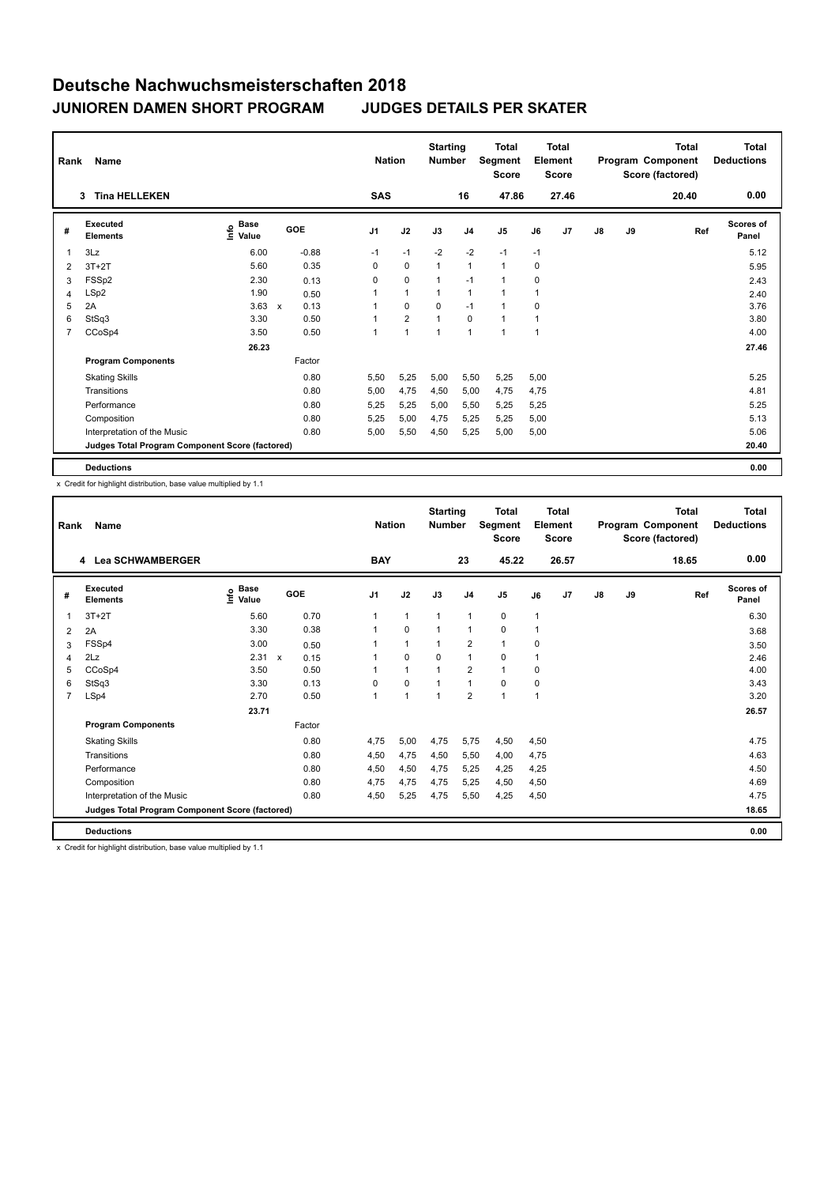| Rank           | <b>Name</b>                                     |                                  | <b>Nation</b> | <b>Starting</b><br><b>Number</b> |                | Total<br>Segment<br><b>Score</b> |              | <b>Total</b><br>Element<br><b>Score</b> |                      |      | Total<br>Program Component<br>Score (factored) | <b>Total</b><br><b>Deductions</b> |    |       |                           |
|----------------|-------------------------------------------------|----------------------------------|---------------|----------------------------------|----------------|----------------------------------|--------------|-----------------------------------------|----------------------|------|------------------------------------------------|-----------------------------------|----|-------|---------------------------|
|                | <b>Tina HELLEKEN</b><br>3                       |                                  |               |                                  | <b>SAS</b>     |                                  |              | 16                                      | 47.86                |      | 27.46                                          |                                   |    | 20.40 | 0.00                      |
| #              | Executed<br><b>Elements</b>                     | <b>Base</b><br>e Base<br>⊆ Value | GOE           |                                  | J <sub>1</sub> | J2                               | J3           | J <sub>4</sub>                          | J <sub>5</sub>       | J6   | J7                                             | $\mathsf{J}8$                     | J9 | Ref   | <b>Scores of</b><br>Panel |
| $\mathbf 1$    | 3Lz                                             | 6.00                             |               | $-0.88$                          | $-1$           | $-1$                             | $-2$         | $-2$                                    | $-1$                 | $-1$ |                                                |                                   |    |       | 5.12                      |
| 2              | $3T+2T$                                         | 5.60                             |               | 0.35                             | 0              | $\mathbf 0$                      | $\mathbf{1}$ | $\mathbf{1}$                            | $\mathbf{1}$         | 0    |                                                |                                   |    |       | 5.95                      |
| 3              | FSSp2                                           | 2.30                             |               | 0.13                             | 0              | $\mathbf 0$                      | $\mathbf{1}$ | $-1$                                    | $\mathbf{1}$         | 0    |                                                |                                   |    |       | 2.43                      |
| 4              | LSp2                                            | 1.90                             |               | 0.50                             |                | $\mathbf{1}$                     |              | $\mathbf{1}$                            | $\blacktriangleleft$ |      |                                                |                                   |    |       | 2.40                      |
| 5              | 2A                                              | 3.63                             | $\mathsf{x}$  | 0.13                             |                | $\mathbf 0$                      | 0            | $-1$                                    | $\overline{1}$       | 0    |                                                |                                   |    |       | 3.76                      |
| 6              | StSq3                                           | 3.30                             |               | 0.50                             |                | $\overline{2}$                   |              | 0                                       | $\mathbf{1}$         |      |                                                |                                   |    |       | 3.80                      |
| $\overline{7}$ | CCoSp4                                          | 3.50                             |               | 0.50                             | 1              | $\mathbf{1}$                     | 1            | $\mathbf{1}$                            | $\mathbf{1}$         | 1    |                                                |                                   |    |       | 4.00                      |
|                |                                                 | 26.23                            |               |                                  |                |                                  |              |                                         |                      |      |                                                |                                   |    |       | 27.46                     |
|                | <b>Program Components</b>                       |                                  |               | Factor                           |                |                                  |              |                                         |                      |      |                                                |                                   |    |       |                           |
|                | <b>Skating Skills</b>                           |                                  |               | 0.80                             | 5,50           | 5,25                             | 5,00         | 5,50                                    | 5,25                 | 5,00 |                                                |                                   |    |       | 5.25                      |
|                | Transitions                                     |                                  |               | 0.80                             | 5,00           | 4,75                             | 4,50         | 5,00                                    | 4,75                 | 4,75 |                                                |                                   |    |       | 4.81                      |
|                | Performance                                     |                                  |               | 0.80                             | 5,25           | 5,25                             | 5,00         | 5,50                                    | 5,25                 | 5,25 |                                                |                                   |    |       | 5.25                      |
|                | Composition                                     |                                  |               | 0.80                             | 5,25           | 5,00                             | 4,75         | 5,25                                    | 5,25                 | 5,00 |                                                |                                   |    |       | 5.13                      |
|                | Interpretation of the Music                     |                                  |               | 0.80                             | 5,00           | 5,50                             | 4,50         | 5,25                                    | 5,00                 | 5,00 |                                                |                                   |    |       | 5.06                      |
|                | Judges Total Program Component Score (factored) |                                  |               |                                  |                |                                  |              |                                         |                      |      |                                                |                                   |    |       | 20.40                     |
|                | <b>Deductions</b>                               |                                  |               |                                  |                |                                  |              |                                         |                      |      |                                                |                                   |    |       | 0.00                      |

x Credit for highlight distribution, base value multiplied by 1.1

| Rank           | Name                                            |                                           |                                   | <b>Nation</b>  |              | <b>Starting</b><br><b>Number</b> |                | <b>Total</b><br>Segment<br><b>Score</b> |      | <b>Total</b><br>Element<br><b>Score</b> |               |    | <b>Total</b><br>Program Component<br>Score (factored) | <b>Total</b><br><b>Deductions</b> |
|----------------|-------------------------------------------------|-------------------------------------------|-----------------------------------|----------------|--------------|----------------------------------|----------------|-----------------------------------------|------|-----------------------------------------|---------------|----|-------------------------------------------------------|-----------------------------------|
|                | 4 Lea SCHWAMBERGER                              |                                           |                                   | <b>BAY</b>     |              |                                  | 23             | 45.22                                   |      | 26.57                                   |               |    | 18.65                                                 | 0.00                              |
| #              | Executed<br><b>Elements</b>                     | $\frac{6}{5}$ Base<br>$\frac{1}{5}$ Value | GOE                               | J <sub>1</sub> | J2           | J3                               | J <sub>4</sub> | J5                                      | J6   | J7                                      | $\mathsf{J}8$ | J9 | Ref                                                   | Scores of<br>Panel                |
| 1              | $3T+2T$                                         | 5.60                                      | 0.70                              | $\mathbf{1}$   | $\mathbf{1}$ | $\mathbf{1}$                     | $\mathbf{1}$   | 0                                       | 1    |                                         |               |    |                                                       | 6.30                              |
| 2              | 2A                                              | 3.30                                      | 0.38                              | 1              | $\Omega$     | $\mathbf{1}$                     | $\mathbf{1}$   | 0                                       | 1    |                                         |               |    |                                                       | 3.68                              |
| 3              | FSSp4                                           | 3.00                                      | 0.50                              | 1              | $\mathbf{1}$ | $\mathbf{1}$                     | $\overline{2}$ | $\mathbf{1}$                            | 0    |                                         |               |    |                                                       | 3.50                              |
| 4              | 2Lz                                             | 2.31                                      | $\boldsymbol{\mathsf{x}}$<br>0.15 | 1              | $\Omega$     | $\Omega$                         | $\mathbf{1}$   | $\Omega$                                | 1    |                                         |               |    |                                                       | 2.46                              |
| 5              | CCoSp4                                          | 3.50                                      | 0.50                              |                | $\mathbf{1}$ | 1                                | $\overline{2}$ | 1                                       | 0    |                                         |               |    |                                                       | 4.00                              |
| 6              | StSq3                                           | 3.30                                      | 0.13                              | $\Omega$       | $\Omega$     | 1                                | $\mathbf{1}$   | $\Omega$                                | 0    |                                         |               |    |                                                       | 3.43                              |
| $\overline{7}$ | LSp4                                            | 2.70                                      | 0.50                              | 1              | 1            | $\overline{1}$                   | $\overline{2}$ | 1                                       | 1    |                                         |               |    |                                                       | 3.20                              |
|                |                                                 | 23.71                                     |                                   |                |              |                                  |                |                                         |      |                                         |               |    |                                                       | 26.57                             |
|                | <b>Program Components</b>                       |                                           | Factor                            |                |              |                                  |                |                                         |      |                                         |               |    |                                                       |                                   |
|                | <b>Skating Skills</b>                           |                                           | 0.80                              | 4.75           | 5.00         | 4.75                             | 5.75           | 4,50                                    | 4.50 |                                         |               |    |                                                       | 4.75                              |
|                | Transitions                                     |                                           | 0.80                              | 4,50           | 4,75         | 4,50                             | 5,50           | 4,00                                    | 4,75 |                                         |               |    |                                                       | 4.63                              |
|                | Performance                                     |                                           | 0.80                              | 4,50           | 4,50         | 4,75                             | 5,25           | 4,25                                    | 4,25 |                                         |               |    |                                                       | 4.50                              |
|                | Composition                                     |                                           | 0.80                              | 4,75           | 4,75         | 4,75                             | 5,25           | 4,50                                    | 4,50 |                                         |               |    |                                                       | 4.69                              |
|                | Interpretation of the Music                     |                                           | 0.80                              | 4,50           | 5,25         | 4,75                             | 5,50           | 4,25                                    | 4,50 |                                         |               |    |                                                       | 4.75                              |
|                | Judges Total Program Component Score (factored) |                                           |                                   |                |              |                                  |                |                                         |      |                                         |               |    |                                                       | 18.65                             |
|                | <b>Deductions</b>                               |                                           |                                   |                |              |                                  |                |                                         |      |                                         |               |    |                                                       | 0.00                              |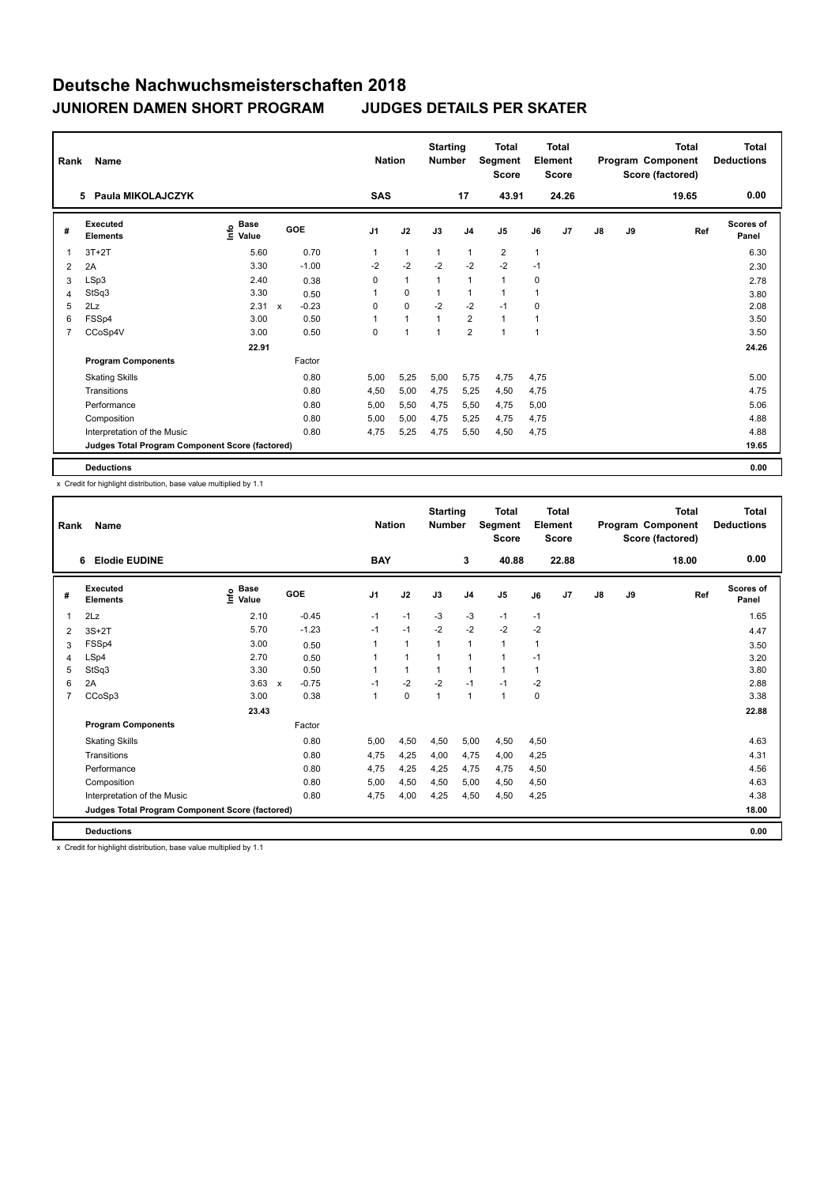| Rank           | <b>Name</b>                                     |                                  |              |                     | <b>Nation</b>  | <b>Starting</b><br><b>Number</b> |                | Total<br>Segment<br><b>Score</b> |                | <b>Total</b><br>Element<br><b>Score</b> |               |    | Total<br>Program Component<br>Score (factored) | <b>Total</b><br><b>Deductions</b> |
|----------------|-------------------------------------------------|----------------------------------|--------------|---------------------|----------------|----------------------------------|----------------|----------------------------------|----------------|-----------------------------------------|---------------|----|------------------------------------------------|-----------------------------------|
|                | Paula MIKOLAJCZYK<br>5.                         |                                  |              | <b>SAS</b>          |                |                                  | 17             | 43.91                            |                | 24.26                                   |               |    | 19.65                                          | 0.00                              |
| #              | Executed<br><b>Elements</b>                     | <b>Base</b><br>e Base<br>⊆ Value | GOE          | J <sub>1</sub>      | J2             | J3                               | J <sub>4</sub> | J <sub>5</sub>                   | J6             | J7                                      | $\mathsf{J}8$ | J9 | Ref                                            | Scores of<br>Panel                |
| $\mathbf 1$    | $3T+2T$                                         | 5.60                             |              | 0.70<br>1           | $\mathbf{1}$   | $\mathbf{1}$                     | $\mathbf{1}$   | $\overline{2}$                   | $\mathbf{1}$   |                                         |               |    |                                                | 6.30                              |
| 2              | 2A                                              | 3.30                             |              | $-1.00$<br>$-2$     | $-2$           | $-2$                             | $-2$           | $-2$                             | $-1$           |                                         |               |    |                                                | 2.30                              |
| 3              | LSp3                                            | 2.40                             |              | 0<br>0.38           | $\mathbf{1}$   | 1                                | $\mathbf{1}$   | $\mathbf{1}$                     | 0              |                                         |               |    |                                                | 2.78                              |
| 4              | StSq3                                           | 3.30                             |              | 0.50                | $\mathbf 0$    |                                  | $\mathbf{1}$   | $\mathbf{1}$                     |                |                                         |               |    |                                                | 3.80                              |
| 5              | 2Lz                                             | 2.31                             | $\mathsf{x}$ | $-0.23$<br>0        | $\mathbf 0$    | $-2$                             | $-2$           | $-1$                             | 0              |                                         |               |    |                                                | 2.08                              |
| 6              | FSSp4                                           | 3.00                             |              | 0.50<br>1           | $\mathbf{1}$   |                                  | 2              | $\mathbf{1}$                     | 1              |                                         |               |    |                                                | 3.50                              |
| $\overline{7}$ | CCoSp4V                                         | 3.00                             |              | $\mathbf 0$<br>0.50 | $\overline{1}$ | $\overline{1}$                   | $\overline{2}$ | $\mathbf{1}$                     | $\overline{1}$ |                                         |               |    |                                                | 3.50                              |
|                |                                                 | 22.91                            |              |                     |                |                                  |                |                                  |                |                                         |               |    |                                                | 24.26                             |
|                | <b>Program Components</b>                       |                                  | Factor       |                     |                |                                  |                |                                  |                |                                         |               |    |                                                |                                   |
|                | <b>Skating Skills</b>                           |                                  |              | 0.80<br>5,00        | 5,25           | 5,00                             | 5,75           | 4,75                             | 4,75           |                                         |               |    |                                                | 5.00                              |
|                | Transitions                                     |                                  |              | 0.80<br>4,50        | 5,00           | 4,75                             | 5,25           | 4,50                             | 4,75           |                                         |               |    |                                                | 4.75                              |
|                | Performance                                     |                                  |              | 0.80<br>5,00        | 5,50           | 4,75                             | 5,50           | 4,75                             | 5,00           |                                         |               |    |                                                | 5.06                              |
|                | Composition                                     |                                  |              | 0.80<br>5,00        | 5,00           | 4,75                             | 5,25           | 4,75                             | 4,75           |                                         |               |    |                                                | 4.88                              |
|                | Interpretation of the Music                     |                                  |              | 0.80<br>4,75        | 5,25           | 4,75                             | 5,50           | 4,50                             | 4,75           |                                         |               |    |                                                | 4.88                              |
|                | Judges Total Program Component Score (factored) |                                  |              |                     |                |                                  |                |                                  |                |                                         |               |    |                                                | 19.65                             |
|                | <b>Deductions</b>                               |                                  |              |                     |                |                                  |                |                                  |                |                                         |               |    |                                                | 0.00                              |

x Credit for highlight distribution, base value multiplied by 1.1

| Rank | Name                                            |                                  |                                      |                | <b>Nation</b> | <b>Starting</b><br><b>Number</b> |                | <b>Total</b><br>Segment<br><b>Score</b> |      | Total<br>Element<br><b>Score</b> |               |    | <b>Total</b><br>Program Component<br>Score (factored) | <b>Total</b><br><b>Deductions</b> |
|------|-------------------------------------------------|----------------------------------|--------------------------------------|----------------|---------------|----------------------------------|----------------|-----------------------------------------|------|----------------------------------|---------------|----|-------------------------------------------------------|-----------------------------------|
|      | <b>Elodie EUDINE</b><br>6                       |                                  |                                      | <b>BAY</b>     |               |                                  | 3              | 40.88                                   |      | 22.88                            |               |    | 18.00                                                 | 0.00                              |
| #    | Executed<br><b>Elements</b>                     | <b>Base</b><br>e Base<br>⊆ Value | <b>GOE</b>                           | J <sub>1</sub> | J2            | J3                               | J <sub>4</sub> | J5                                      | J6   | J <sub>7</sub>                   | $\mathsf{J}8$ | J9 | Ref                                                   | <b>Scores of</b><br>Panel         |
| 1    | 2Lz                                             | 2.10                             | $-0.45$                              | $-1$           | $-1$          | $-3$                             | $-3$           | $-1$                                    | $-1$ |                                  |               |    |                                                       | 1.65                              |
| 2    | $3S+2T$                                         | 5.70                             | $-1.23$                              | $-1$           | $-1$          | $-2$                             | $-2$           | $-2$                                    | $-2$ |                                  |               |    |                                                       | 4.47                              |
| 3    | FSSp4                                           | 3.00                             | 0.50                                 | 1              | $\mathbf{1}$  | $\mathbf{1}$                     | $\mathbf{1}$   | $\mathbf{1}$                            | 1    |                                  |               |    |                                                       | 3.50                              |
| 4    | LSp4                                            | 2.70                             | 0.50                                 | 1              | $\mathbf{1}$  | $\mathbf{1}$                     | $\overline{1}$ | 1                                       | $-1$ |                                  |               |    |                                                       | 3.20                              |
| 5    | StSq3                                           | 3.30                             | 0.50                                 |                | $\mathbf{1}$  | $\mathbf{1}$                     | 1              | $\mathbf{1}$                            | 1    |                                  |               |    |                                                       | 3.80                              |
| 6    | 2A                                              | 3.63                             | $-0.75$<br>$\boldsymbol{\mathsf{x}}$ | $-1$           | $-2$          | $-2$                             | $-1$           | $-1$                                    | -2   |                                  |               |    |                                                       | 2.88                              |
| 7    | CCoSp3                                          | 3.00                             | 0.38                                 | 1              | 0             | $\mathbf{1}$                     | $\mathbf{1}$   | $\mathbf{1}$                            | 0    |                                  |               |    |                                                       | 3.38                              |
|      |                                                 | 23.43                            |                                      |                |               |                                  |                |                                         |      |                                  |               |    |                                                       | 22.88                             |
|      | <b>Program Components</b>                       |                                  | Factor                               |                |               |                                  |                |                                         |      |                                  |               |    |                                                       |                                   |
|      | <b>Skating Skills</b>                           |                                  | 0.80                                 | 5.00           | 4.50          | 4,50                             | 5,00           | 4,50                                    | 4.50 |                                  |               |    |                                                       | 4.63                              |
|      | Transitions                                     |                                  | 0.80                                 | 4.75           | 4.25          | 4.00                             | 4.75           | 4,00                                    | 4,25 |                                  |               |    |                                                       | 4.31                              |
|      | Performance                                     |                                  | 0.80                                 | 4,75           | 4,25          | 4,25                             | 4,75           | 4,75                                    | 4,50 |                                  |               |    |                                                       | 4.56                              |
|      | Composition                                     |                                  | 0.80                                 | 5,00           | 4,50          | 4,50                             | 5,00           | 4,50                                    | 4,50 |                                  |               |    |                                                       | 4.63                              |
|      | Interpretation of the Music                     |                                  | 0.80                                 | 4,75           | 4,00          | 4,25                             | 4,50           | 4,50                                    | 4,25 |                                  |               |    |                                                       | 4.38                              |
|      | Judges Total Program Component Score (factored) |                                  |                                      |                |               |                                  |                |                                         |      |                                  |               |    |                                                       | 18.00                             |
|      | <b>Deductions</b>                               |                                  |                                      |                |               |                                  |                |                                         |      |                                  |               |    |                                                       | 0.00                              |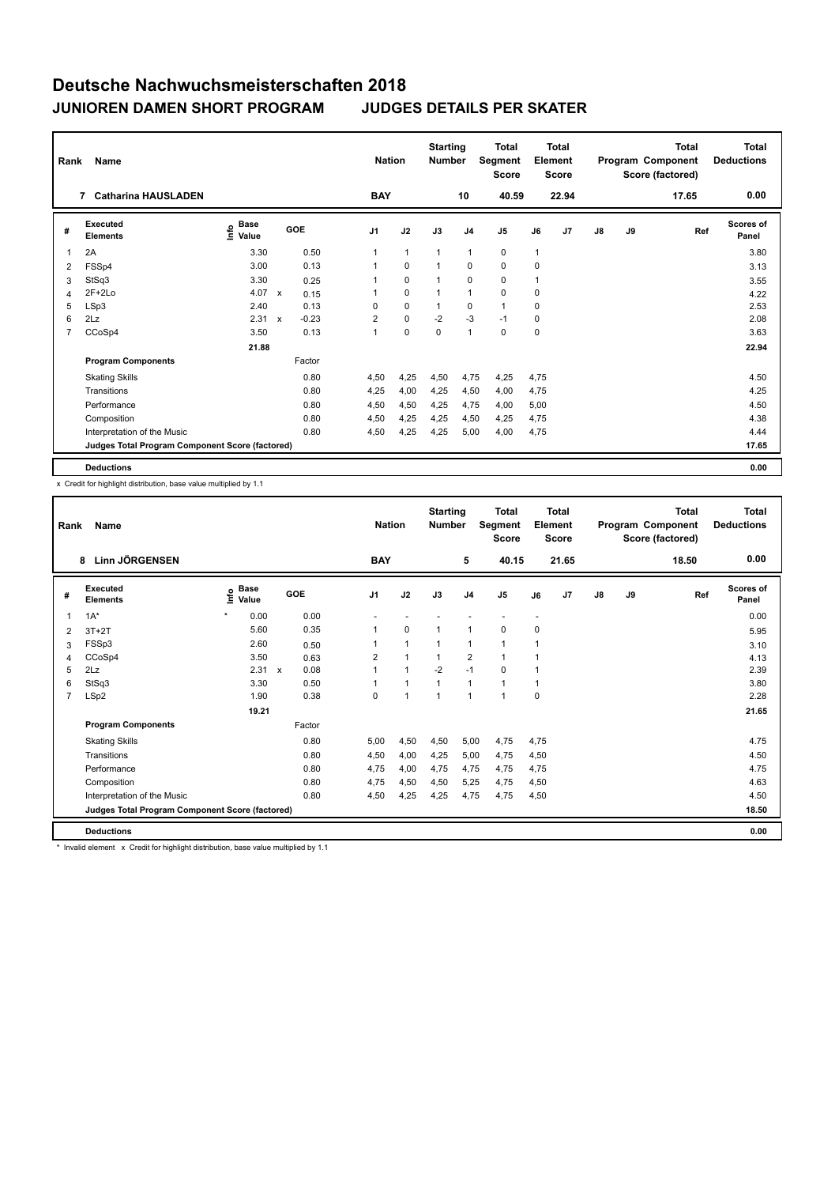| Rank           | <b>Name</b><br><b>Catharina HAUSLADEN</b><br>$\overline{7}$ |                                  |                           |         |                | <b>Nation</b> | <b>Starting</b><br><b>Number</b> |                | Total<br>Segment<br><b>Score</b> |              | <b>Total</b><br>Element<br><b>Score</b> |               |    | Total<br>Program Component<br>Score (factored) | <b>Total</b><br><b>Deductions</b> |
|----------------|-------------------------------------------------------------|----------------------------------|---------------------------|---------|----------------|---------------|----------------------------------|----------------|----------------------------------|--------------|-----------------------------------------|---------------|----|------------------------------------------------|-----------------------------------|
|                |                                                             |                                  |                           |         | <b>BAY</b>     |               |                                  | 10             | 40.59                            |              | 22.94                                   |               |    | 17.65                                          | 0.00                              |
| #              | Executed<br><b>Elements</b>                                 | <b>Base</b><br>e Base<br>⊆ Value |                           | GOE     | J <sub>1</sub> | J2            | J3                               | J <sub>4</sub> | J <sub>5</sub>                   | J6           | J7                                      | $\mathsf{J}8$ | J9 | Ref                                            | Scores of<br>Panel                |
| 1              | 2A                                                          | 3.30                             |                           | 0.50    | 1              | $\mathbf{1}$  | $\mathbf{1}$                     | $\mathbf{1}$   | 0                                | $\mathbf{1}$ |                                         |               |    |                                                | 3.80                              |
| 2              | FSSp4                                                       | 3.00                             |                           | 0.13    |                | $\mathbf 0$   |                                  | $\mathbf 0$    | $\mathbf 0$                      | 0            |                                         |               |    |                                                | 3.13                              |
| 3              | StSq3                                                       | 3.30                             |                           | 0.25    |                | $\mathbf 0$   | 1                                | $\mathbf 0$    | 0                                | 1            |                                         |               |    |                                                | 3.55                              |
| 4              | $2F+2Lo$                                                    | 4.07                             | $\boldsymbol{\mathsf{x}}$ | 0.15    |                | $\mathbf 0$   |                                  | $\mathbf{1}$   | $\mathbf 0$                      | 0            |                                         |               |    |                                                | 4.22                              |
| 5              | LSp3                                                        | 2.40                             |                           | 0.13    | $\Omega$       | $\mathbf 0$   |                                  | 0              | $\mathbf{1}$                     | 0            |                                         |               |    |                                                | 2.53                              |
| 6              | 2Lz                                                         | 2.31                             | $\boldsymbol{\mathsf{x}}$ | $-0.23$ | $\overline{2}$ | $\mathbf 0$   | $-2$                             | -3             | $-1$                             | 0            |                                         |               |    |                                                | 2.08                              |
| $\overline{7}$ | CCoSp4                                                      | 3.50                             |                           | 0.13    | 1              | $\mathbf 0$   | $\mathbf 0$                      | $\mathbf{1}$   | $\mathbf 0$                      | 0            |                                         |               |    |                                                | 3.63                              |
|                |                                                             | 21.88                            |                           |         |                |               |                                  |                |                                  |              |                                         |               |    |                                                | 22.94                             |
|                | <b>Program Components</b>                                   |                                  |                           | Factor  |                |               |                                  |                |                                  |              |                                         |               |    |                                                |                                   |
|                | <b>Skating Skills</b>                                       |                                  |                           | 0.80    | 4,50           | 4,25          | 4,50                             | 4,75           | 4,25                             | 4,75         |                                         |               |    |                                                | 4.50                              |
|                | Transitions                                                 |                                  |                           | 0.80    | 4,25           | 4,00          | 4,25                             | 4,50           | 4,00                             | 4,75         |                                         |               |    |                                                | 4.25                              |
|                | Performance                                                 |                                  |                           | 0.80    | 4,50           | 4,50          | 4,25                             | 4,75           | 4,00                             | 5,00         |                                         |               |    |                                                | 4.50                              |
|                | Composition                                                 |                                  |                           | 0.80    | 4,50           | 4,25          | 4,25                             | 4,50           | 4,25                             | 4,75         |                                         |               |    |                                                | 4.38                              |
|                | Interpretation of the Music                                 |                                  |                           | 0.80    | 4,50           | 4,25          | 4,25                             | 5,00           | 4,00                             | 4,75         |                                         |               |    |                                                | 4.44                              |
|                | Judges Total Program Component Score (factored)             |                                  |                           |         |                |               |                                  |                |                                  |              |                                         |               |    |                                                | 17.65                             |
|                | <b>Deductions</b>                                           |                                  |                           |         |                |               |                                  |                |                                  |              |                                         |               |    |                                                | 0.00                              |

x Credit for highlight distribution, base value multiplied by 1.1

| Rank           | Name                                            | <b>Nation</b> |                      | <b>Starting</b><br><b>Number</b> |            | <b>Total</b><br>Segment<br><b>Score</b> |              | <b>Total</b><br>Element<br><b>Score</b> |                |                | <b>Total</b><br>Program Component<br>Score (factored) | Total<br><b>Deductions</b> |               |    |       |                           |
|----------------|-------------------------------------------------|---------------|----------------------|----------------------------------|------------|-----------------------------------------|--------------|-----------------------------------------|----------------|----------------|-------------------------------------------------------|----------------------------|---------------|----|-------|---------------------------|
|                | Linn JÖRGENSEN<br>8                             |               |                      |                                  |            | <b>BAY</b>                              |              |                                         | 5              | 40.15          |                                                       | 21.65                      |               |    | 18.50 | 0.00                      |
| #              | Executed<br><b>Elements</b>                     | ١nfo          | <b>Base</b><br>Value |                                  | <b>GOE</b> | J <sub>1</sub>                          | J2           | J3                                      | J <sub>4</sub> | J <sub>5</sub> | J6                                                    | J <sub>7</sub>             | $\mathsf{J}8$ | J9 | Ref   | <b>Scores of</b><br>Panel |
| 1              | $1A^*$                                          | $\star$       | 0.00                 |                                  | 0.00       |                                         |              |                                         |                |                | $\overline{\phantom{a}}$                              |                            |               |    |       | 0.00                      |
| 2              | $3T+2T$                                         |               | 5.60                 |                                  | 0.35       | 1                                       | $\mathbf 0$  | $\mathbf{1}$                            | -1             | 0              | 0                                                     |                            |               |    |       | 5.95                      |
| 3              | FSSp3                                           |               | 2.60                 |                                  | 0.50       | 1                                       | $\mathbf{1}$ | $\mathbf{1}$                            | $\mathbf{1}$   | 1              | 1                                                     |                            |               |    |       | 3.10                      |
| 4              | CCoSp4                                          |               | 3.50                 |                                  | 0.63       | $\overline{2}$                          | $\mathbf{1}$ | $\mathbf{1}$                            | $\overline{2}$ | $\mathbf{1}$   | 1                                                     |                            |               |    |       | 4.13                      |
| 5              | 2Lz                                             |               | 2.31                 | $\mathsf{x}$                     | 0.08       | $\overline{1}$                          | $\mathbf{1}$ | $-2$                                    | $-1$           | 0              | 1                                                     |                            |               |    |       | 2.39                      |
| 6              | StSq3                                           |               | 3.30                 |                                  | 0.50       | 1                                       | $\mathbf{1}$ | $\overline{1}$                          | $\mathbf{1}$   | $\mathbf{1}$   | 1                                                     |                            |               |    |       | 3.80                      |
| $\overline{7}$ | LSp2                                            |               | 1.90                 |                                  | 0.38       | $\Omega$                                | $\mathbf{1}$ | $\overline{1}$                          | $\overline{1}$ | $\mathbf{1}$   | 0                                                     |                            |               |    |       | 2.28                      |
|                |                                                 |               | 19.21                |                                  |            |                                         |              |                                         |                |                |                                                       |                            |               |    |       | 21.65                     |
|                | <b>Program Components</b>                       |               |                      |                                  | Factor     |                                         |              |                                         |                |                |                                                       |                            |               |    |       |                           |
|                | <b>Skating Skills</b>                           |               |                      |                                  | 0.80       | 5.00                                    | 4,50         | 4,50                                    | 5,00           | 4,75           | 4,75                                                  |                            |               |    |       | 4.75                      |
|                | Transitions                                     |               |                      |                                  | 0.80       | 4,50                                    | 4,00         | 4,25                                    | 5,00           | 4,75           | 4,50                                                  |                            |               |    |       | 4.50                      |
|                | Performance                                     |               |                      |                                  | 0.80       | 4,75                                    | 4,00         | 4,75                                    | 4,75           | 4,75           | 4,75                                                  |                            |               |    |       | 4.75                      |
|                | Composition                                     |               |                      |                                  | 0.80       | 4,75                                    | 4,50         | 4,50                                    | 5,25           | 4,75           | 4,50                                                  |                            |               |    |       | 4.63                      |
|                | Interpretation of the Music                     |               |                      |                                  | 0.80       | 4,50                                    | 4,25         | 4,25                                    | 4,75           | 4,75           | 4,50                                                  |                            |               |    |       | 4.50                      |
|                | Judges Total Program Component Score (factored) |               |                      |                                  |            |                                         |              |                                         |                |                |                                                       |                            |               |    |       | 18.50                     |
|                | <b>Deductions</b>                               |               |                      |                                  |            |                                         |              |                                         |                |                |                                                       |                            |               |    |       | 0.00                      |

\* Invalid element x Credit for highlight distribution, base value multiplied by 1.1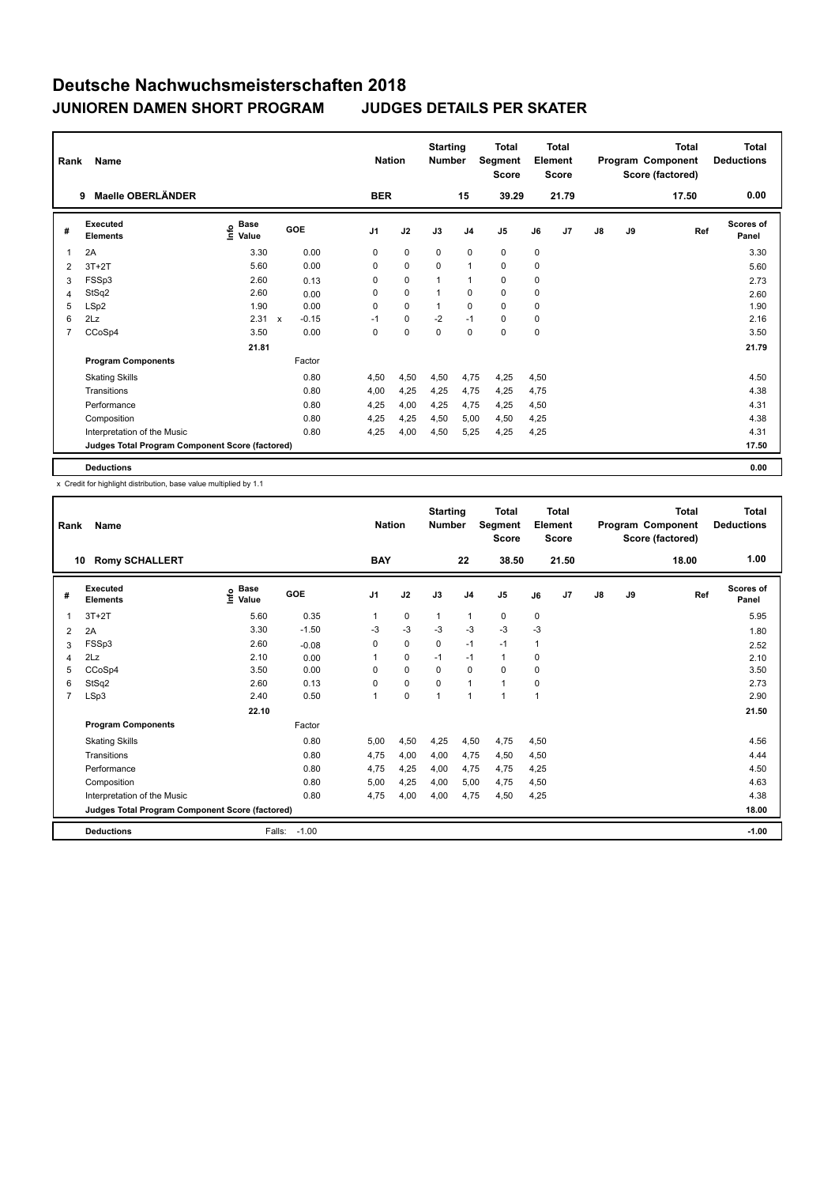| Rank           | <b>Name</b>                                     |                                  |                           |         | <b>Nation</b>  |             | <b>Starting</b><br><b>Number</b> |                | Total<br>Segment<br><b>Score</b> |             | <b>Total</b><br>Element<br><b>Score</b> |               |    | Total<br>Program Component<br>Score (factored) | <b>Total</b><br><b>Deductions</b> |
|----------------|-------------------------------------------------|----------------------------------|---------------------------|---------|----------------|-------------|----------------------------------|----------------|----------------------------------|-------------|-----------------------------------------|---------------|----|------------------------------------------------|-----------------------------------|
|                | Maelle OBERLÄNDER<br>9                          |                                  |                           |         | <b>BER</b>     |             |                                  | 15             | 39.29                            |             | 21.79                                   |               |    | 17.50                                          | 0.00                              |
| #              | Executed<br><b>Elements</b>                     | <b>Base</b><br>e Base<br>⊆ Value | GOE                       |         | J <sub>1</sub> | J2          | J3                               | J <sub>4</sub> | J <sub>5</sub>                   | J6          | J7                                      | $\mathsf{J}8$ | J9 | Ref                                            | Scores of<br>Panel                |
| 1              | 2A                                              | 3.30                             |                           | 0.00    | 0              | $\pmb{0}$   | $\mathbf 0$                      | 0              | $\mathbf 0$                      | 0           |                                         |               |    |                                                | 3.30                              |
| 2              | $3T+2T$                                         | 5.60                             |                           | 0.00    | 0              | $\mathbf 0$ | $\mathbf 0$                      | $\mathbf{1}$   | $\mathbf 0$                      | 0           |                                         |               |    |                                                | 5.60                              |
| 3              | FSSp3                                           | 2.60                             |                           | 0.13    | 0              | $\mathbf 0$ | 1                                | $\mathbf 1$    | 0                                | 0           |                                         |               |    |                                                | 2.73                              |
| 4              | StSq2                                           | 2.60                             |                           | 0.00    | 0              | $\mathbf 0$ |                                  | $\mathbf 0$    | $\mathbf 0$                      | 0           |                                         |               |    |                                                | 2.60                              |
| 5              | LSp2                                            | 1.90                             |                           | 0.00    | 0              | $\mathbf 0$ |                                  | 0              | $\Omega$                         | 0           |                                         |               |    |                                                | 1.90                              |
| 6              | 2Lz                                             | 2.31                             | $\boldsymbol{\mathsf{x}}$ | $-0.15$ | $-1$           | 0           | $-2$                             | $-1$           | 0                                | 0           |                                         |               |    |                                                | 2.16                              |
| $\overline{7}$ | CCoSp4                                          | 3.50                             |                           | 0.00    | 0              | $\mathbf 0$ | $\mathbf 0$                      | $\mathbf 0$    | $\mathbf 0$                      | $\mathbf 0$ |                                         |               |    |                                                | 3.50                              |
|                |                                                 | 21.81                            |                           |         |                |             |                                  |                |                                  |             |                                         |               |    |                                                | 21.79                             |
|                | <b>Program Components</b>                       |                                  |                           | Factor  |                |             |                                  |                |                                  |             |                                         |               |    |                                                |                                   |
|                | <b>Skating Skills</b>                           |                                  |                           | 0.80    | 4,50           | 4,50        | 4,50                             | 4,75           | 4,25                             | 4,50        |                                         |               |    |                                                | 4.50                              |
|                | Transitions                                     |                                  |                           | 0.80    | 4,00           | 4,25        | 4,25                             | 4,75           | 4,25                             | 4,75        |                                         |               |    |                                                | 4.38                              |
|                | Performance                                     |                                  |                           | 0.80    | 4,25           | 4,00        | 4,25                             | 4,75           | 4,25                             | 4,50        |                                         |               |    |                                                | 4.31                              |
|                | Composition                                     |                                  |                           | 0.80    | 4,25           | 4,25        | 4,50                             | 5,00           | 4,50                             | 4,25        |                                         |               |    |                                                | 4.38                              |
|                | Interpretation of the Music                     |                                  |                           | 0.80    | 4,25           | 4,00        | 4,50                             | 5,25           | 4,25                             | 4,25        |                                         |               |    |                                                | 4.31                              |
|                | Judges Total Program Component Score (factored) |                                  |                           |         |                |             |                                  |                |                                  |             |                                         |               |    |                                                | 17.50                             |
|                | <b>Deductions</b>                               |                                  |                           |         |                |             |                                  |                |                                  |             |                                         |               |    |                                                | 0.00                              |

| Rank           | <b>Name</b><br><b>Romy SCHALLERT</b><br>10      |                              |         |                | <b>Nation</b> | <b>Starting</b><br><b>Number</b> |                | <b>Total</b><br>Segment<br><b>Score</b> |             | Total<br>Element<br><b>Score</b> |               |    | <b>Total</b><br>Program Component<br>Score (factored) | <b>Total</b><br><b>Deductions</b> |
|----------------|-------------------------------------------------|------------------------------|---------|----------------|---------------|----------------------------------|----------------|-----------------------------------------|-------------|----------------------------------|---------------|----|-------------------------------------------------------|-----------------------------------|
|                |                                                 |                              |         | <b>BAY</b>     |               |                                  | 22             | 38.50                                   |             | 21.50                            |               |    | 18.00                                                 | 1.00                              |
| #              | Executed<br><b>Elements</b>                     | <b>Base</b><br>١nf٥<br>Value | GOE     | J <sub>1</sub> | J2            | J3                               | J <sub>4</sub> | J <sub>5</sub>                          | J6          | J <sub>7</sub>                   | $\mathsf{J}8$ | J9 | Ref                                                   | Scores of<br>Panel                |
|                | $3T+2T$                                         | 5.60                         | 0.35    | 1              | $\mathbf 0$   | $\mathbf{1}$                     | $\mathbf{1}$   | 0                                       | $\mathbf 0$ |                                  |               |    |                                                       | 5.95                              |
| 2              | 2A                                              | 3.30                         | $-1.50$ | $-3$           | $-3$          | $-3$                             | $-3$           | $-3$                                    | $-3$        |                                  |               |    |                                                       | 1.80                              |
| 3              | FSSp3                                           | 2.60                         | $-0.08$ | $\Omega$       | $\mathbf 0$   | $\Omega$                         | $-1$           | $-1$                                    | 1           |                                  |               |    |                                                       | 2.52                              |
| 4              | 2Lz                                             | 2.10                         | 0.00    | 1              | $\mathbf 0$   | $-1$                             | $-1$           | $\mathbf{1}$                            | 0           |                                  |               |    |                                                       | 2.10                              |
| 5              | CCoSp4                                          | 3.50                         | 0.00    | $\Omega$       | $\mathbf 0$   | $\Omega$                         | $\Omega$       | $\Omega$                                | 0           |                                  |               |    |                                                       | 3.50                              |
| 6              | StSq2                                           | 2.60                         | 0.13    | 0              | $\mathbf 0$   | $\Omega$                         | $\mathbf{1}$   | 1                                       | 0           |                                  |               |    |                                                       | 2.73                              |
| $\overline{7}$ | LSp3                                            | 2.40                         | 0.50    | 1              | $\mathbf 0$   | $\mathbf{1}$                     | 1              | 1                                       | 1           |                                  |               |    |                                                       | 2.90                              |
|                |                                                 | 22.10                        |         |                |               |                                  |                |                                         |             |                                  |               |    |                                                       | 21.50                             |
|                | <b>Program Components</b>                       |                              | Factor  |                |               |                                  |                |                                         |             |                                  |               |    |                                                       |                                   |
|                | <b>Skating Skills</b>                           |                              | 0.80    | 5,00           | 4,50          | 4,25                             | 4,50           | 4,75                                    | 4,50        |                                  |               |    |                                                       | 4.56                              |
|                | Transitions                                     |                              | 0.80    | 4,75           | 4,00          | 4,00                             | 4,75           | 4,50                                    | 4,50        |                                  |               |    |                                                       | 4.44                              |
|                | Performance                                     |                              | 0.80    | 4,75           | 4,25          | 4,00                             | 4,75           | 4,75                                    | 4,25        |                                  |               |    |                                                       | 4.50                              |
|                | Composition                                     |                              | 0.80    | 5,00           | 4,25          | 4,00                             | 5.00           | 4,75                                    | 4,50        |                                  |               |    |                                                       | 4.63                              |
|                | Interpretation of the Music                     |                              | 0.80    | 4,75           | 4,00          | 4,00                             | 4,75           | 4,50                                    | 4,25        |                                  |               |    |                                                       | 4.38                              |
|                | Judges Total Program Component Score (factored) |                              |         |                |               |                                  |                |                                         |             |                                  |               |    |                                                       | 18.00                             |
|                | <b>Deductions</b>                               | Falls:                       | $-1.00$ |                |               |                                  |                |                                         |             |                                  |               |    |                                                       | $-1.00$                           |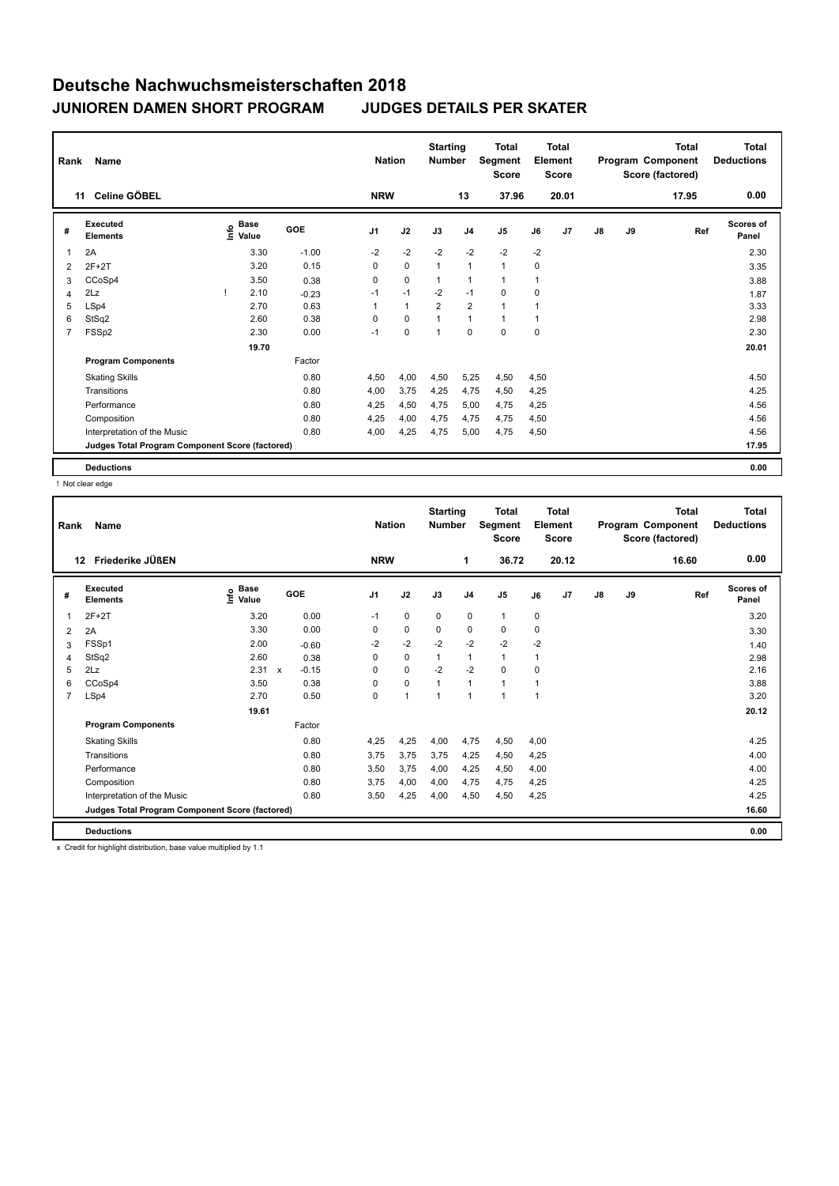| Rank           | Name                                            |                                  | <b>Nation</b> |                | <b>Starting</b><br><b>Number</b> |                | <b>Total</b><br>Segment<br><b>Score</b> |                | <b>Total</b><br>Element<br><b>Score</b> |       |               | <b>Total</b><br>Program Component<br>Score (factored) | <b>Total</b><br><b>Deductions</b> |                           |
|----------------|-------------------------------------------------|----------------------------------|---------------|----------------|----------------------------------|----------------|-----------------------------------------|----------------|-----------------------------------------|-------|---------------|-------------------------------------------------------|-----------------------------------|---------------------------|
|                | Celine GÖBEL<br>11                              |                                  |               | <b>NRW</b>     |                                  |                | 13                                      | 37.96          |                                         | 20.01 |               |                                                       | 17.95                             | 0.00                      |
| #              | Executed<br><b>Elements</b>                     | <b>Base</b><br>o Base<br>⊆ Value | GOE           | J <sub>1</sub> | J2                               | J3             | J <sub>4</sub>                          | J <sub>5</sub> | J6                                      | J7    | $\mathsf{J}8$ | J9                                                    | Ref                               | <b>Scores of</b><br>Panel |
| 1              | 2A                                              | 3.30                             | $-1.00$       | $-2$           | $-2$                             | $-2$           | $-2$                                    | $-2$           | $-2$                                    |       |               |                                                       |                                   | 2.30                      |
| 2              | $2F+2T$                                         | 3.20                             | 0.15          | 0              | $\mathbf 0$                      | $\mathbf{1}$   | $\mathbf{1}$                            | $\mathbf{1}$   | 0                                       |       |               |                                                       |                                   | 3.35                      |
| 3              | CCoSp4                                          | 3.50                             | 0.38          | 0              | $\mathbf 0$                      | $\mathbf{1}$   | $\mathbf{1}$                            | $\mathbf{1}$   | 1                                       |       |               |                                                       |                                   | 3.88                      |
| 4              | 2Lz                                             | 2.10                             | $-0.23$       | $-1$           | $-1$                             | $-2$           | $-1$                                    | $\mathbf 0$    | 0                                       |       |               |                                                       |                                   | 1.87                      |
| 5              | LSp4                                            | 2.70                             | 0.63          |                | $\overline{1}$                   | $\overline{2}$ | $\overline{2}$                          | 1              | 1                                       |       |               |                                                       |                                   | 3.33                      |
| 6              | StSq2                                           | 2.60                             | 0.38          | 0              | 0                                | $\overline{ }$ | $\mathbf{1}$                            | $\mathbf{1}$   | 1                                       |       |               |                                                       |                                   | 2.98                      |
| $\overline{7}$ | FSSp2                                           | 2.30                             | 0.00          | $-1$           | $\mathbf 0$                      | $\overline{1}$ | $\mathbf 0$                             | $\mathbf 0$    | $\Omega$                                |       |               |                                                       |                                   | 2.30                      |
|                |                                                 | 19.70                            |               |                |                                  |                |                                         |                |                                         |       |               |                                                       |                                   | 20.01                     |
|                | <b>Program Components</b>                       |                                  | Factor        |                |                                  |                |                                         |                |                                         |       |               |                                                       |                                   |                           |
|                | <b>Skating Skills</b>                           |                                  | 0.80          | 4,50           | 4,00                             | 4,50           | 5,25                                    | 4,50           | 4,50                                    |       |               |                                                       |                                   | 4.50                      |
|                | Transitions                                     |                                  | 0.80          | 4,00           | 3,75                             | 4,25           | 4,75                                    | 4,50           | 4,25                                    |       |               |                                                       |                                   | 4.25                      |
|                | Performance                                     |                                  | 0.80          | 4,25           | 4,50                             | 4,75           | 5,00                                    | 4,75           | 4,25                                    |       |               |                                                       |                                   | 4.56                      |
|                | Composition                                     |                                  | 0.80          | 4,25           | 4,00                             | 4,75           | 4,75                                    | 4,75           | 4,50                                    |       |               |                                                       |                                   | 4.56                      |
|                | Interpretation of the Music                     |                                  | 0.80          | 4,00           | 4,25                             | 4,75           | 5,00                                    | 4,75           | 4,50                                    |       |               |                                                       |                                   | 4.56                      |
|                | Judges Total Program Component Score (factored) |                                  |               |                |                                  |                |                                         |                |                                         |       |               |                                                       |                                   | 17.95                     |
|                | <b>Deductions</b>                               |                                  |               |                |                                  |                |                                         |                |                                         |       |               |                                                       |                                   | 0.00                      |

! Not clear edge

| Rank           | Name                                            |                            |                           | <b>Nation</b> | <b>Starting</b><br><b>Number</b> |              | <b>Total</b><br><b>Segment</b><br><b>Score</b> |                | <b>Total</b><br>Element<br><b>Score</b> |      |                | <b>Total</b><br>Program Component<br>Score (factored) | <b>Total</b><br><b>Deductions</b> |       |                           |
|----------------|-------------------------------------------------|----------------------------|---------------------------|---------------|----------------------------------|--------------|------------------------------------------------|----------------|-----------------------------------------|------|----------------|-------------------------------------------------------|-----------------------------------|-------|---------------------------|
|                | Friederike JÜßEN<br>12                          |                            |                           |               | <b>NRW</b>                       |              |                                                | 1              | 36.72                                   |      | 20.12          |                                                       |                                   | 16.60 | 0.00                      |
| #              | <b>Executed</b><br><b>Elements</b>              | <b>Base</b><br>۴ů<br>Value | GOE                       |               | J1                               | J2           | J3                                             | J <sub>4</sub> | J <sub>5</sub>                          | J6   | J <sub>7</sub> | $\mathsf{J}8$                                         | J9                                | Ref   | <b>Scores of</b><br>Panel |
| 1              | $2F+2T$                                         | 3.20                       |                           | 0.00          | $-1$                             | $\mathbf 0$  | $\mathbf 0$                                    | $\mathbf 0$    | $\mathbf{1}$                            | 0    |                |                                                       |                                   |       | 3.20                      |
| $\overline{2}$ | 2A                                              | 3.30                       |                           | 0.00          | $\Omega$                         | $\mathbf 0$  | $\mathbf 0$                                    | $\mathbf 0$    | $\Omega$                                | 0    |                |                                                       |                                   |       | 3.30                      |
| 3              | FSSp1                                           | 2.00                       |                           | $-0.60$       | $-2$                             | $-2$         | $-2$                                           | $-2$           | $-2$                                    | $-2$ |                |                                                       |                                   |       | 1.40                      |
| 4              | StSq2                                           | 2.60                       |                           | 0.38          | $\Omega$                         | $\Omega$     | $\mathbf{1}$                                   | $\mathbf{1}$   | $\mathbf{1}$                            | 1    |                |                                                       |                                   |       | 2.98                      |
| 5              | 2Lz                                             | 2.31                       | $\boldsymbol{\mathsf{x}}$ | $-0.15$       | $\Omega$                         | $\mathbf 0$  | $-2$                                           | $-2$           | 0                                       | 0    |                |                                                       |                                   |       | 2.16                      |
| 6              | CCoSp4                                          | 3.50                       |                           | 0.38          | $\Omega$                         | $\mathbf 0$  | $\overline{1}$                                 | $\mathbf{1}$   | $\blacktriangleleft$                    |      |                |                                                       |                                   |       | 3.88                      |
| $\overline{7}$ | LSp4                                            | 2.70                       |                           | 0.50          | $\Omega$                         | $\mathbf{1}$ | $\mathbf{1}$                                   | $\mathbf{1}$   | $\blacktriangleleft$                    | 1    |                |                                                       |                                   |       | 3.20                      |
|                |                                                 | 19.61                      |                           |               |                                  |              |                                                |                |                                         |      |                |                                                       |                                   |       | 20.12                     |
|                | <b>Program Components</b>                       |                            |                           | Factor        |                                  |              |                                                |                |                                         |      |                |                                                       |                                   |       |                           |
|                | <b>Skating Skills</b>                           |                            |                           | 0.80          | 4.25                             | 4,25         | 4,00                                           | 4,75           | 4,50                                    | 4.00 |                |                                                       |                                   |       | 4.25                      |
|                | Transitions                                     |                            |                           | 0.80          | 3.75                             | 3,75         | 3,75                                           | 4,25           | 4,50                                    | 4,25 |                |                                                       |                                   |       | 4.00                      |
|                | Performance                                     |                            |                           | 0.80          | 3.50                             | 3.75         | 4.00                                           | 4,25           | 4,50                                    | 4,00 |                |                                                       |                                   |       | 4.00                      |
|                | Composition                                     |                            |                           | 0.80          | 3,75                             | 4,00         | 4,00                                           | 4,75           | 4,75                                    | 4,25 |                |                                                       |                                   |       | 4.25                      |
|                | Interpretation of the Music                     |                            |                           | 0.80          | 3,50                             | 4,25         | 4,00                                           | 4,50           | 4,50                                    | 4,25 |                |                                                       |                                   |       | 4.25                      |
|                | Judges Total Program Component Score (factored) |                            |                           |               |                                  |              |                                                |                |                                         |      |                |                                                       |                                   |       | 16.60                     |
|                | <b>Deductions</b>                               |                            |                           |               |                                  |              |                                                |                |                                         |      |                |                                                       |                                   |       | 0.00                      |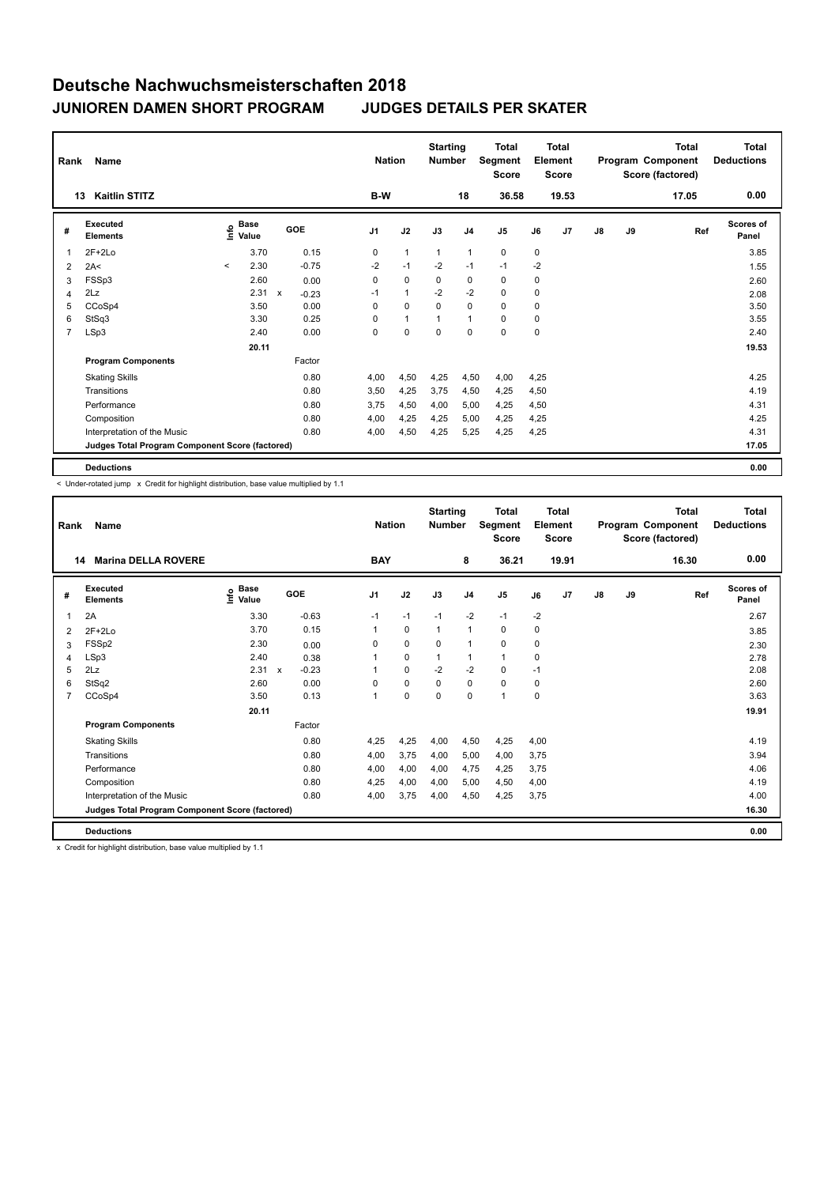| Rank           | Name                                            |                                  |                         | <b>Nation</b>  |              | <b>Starting</b><br><b>Number</b> |                | Total<br>Segment<br><b>Score</b> | Element     | <b>Total</b><br><b>Score</b> |               |    | Total<br>Program Component<br>Score (factored) | <b>Total</b><br><b>Deductions</b> |
|----------------|-------------------------------------------------|----------------------------------|-------------------------|----------------|--------------|----------------------------------|----------------|----------------------------------|-------------|------------------------------|---------------|----|------------------------------------------------|-----------------------------------|
|                | <b>Kaitlin STITZ</b><br>13                      |                                  |                         | B-W            |              |                                  | 18             | 36.58                            |             | 19.53                        |               |    | 17.05                                          | 0.00                              |
| #              | Executed<br><b>Elements</b>                     | <b>Base</b><br>e Base<br>⊆ Value | GOE                     | J <sub>1</sub> | J2           | J3                               | J <sub>4</sub> | J <sub>5</sub>                   | J6          | J7                           | $\mathsf{J}8$ | J9 | Ref                                            | <b>Scores of</b><br>Panel         |
| $\mathbf 1$    | $2F+2Lo$                                        | 3.70                             | 0.15                    | 0              | $\mathbf{1}$ | $\mathbf{1}$                     | $\mathbf{1}$   | $\mathbf 0$                      | $\mathbf 0$ |                              |               |    |                                                | 3.85                              |
| 2              | 2A<                                             | 2.30<br>$\prec$                  | $-0.75$                 | $-2$           | $-1$         | $-2$                             | $-1$           | $-1$                             | $-2$        |                              |               |    |                                                | 1.55                              |
| 3              | FSSp3                                           | 2.60                             | 0.00                    | 0              | $\mathbf 0$  | 0                                | 0              | 0                                | 0           |                              |               |    |                                                | 2.60                              |
| 4              | 2Lz                                             | 2.31                             | $\mathsf{x}$<br>$-0.23$ | $-1$           | $\mathbf{1}$ | $-2$                             | $-2$           | $\mathbf 0$                      | 0           |                              |               |    |                                                | 2.08                              |
| 5              | CCoSp4                                          | 3.50                             | 0.00                    | 0              | $\mathbf 0$  | $\mathbf 0$                      | $\mathbf 0$    | 0                                | 0           |                              |               |    |                                                | 3.50                              |
| 6              | StSq3                                           | 3.30                             | 0.25                    | $\Omega$       | $\mathbf{1}$ |                                  | $\mathbf{1}$   | 0                                | 0           |                              |               |    |                                                | 3.55                              |
| $\overline{7}$ | LSp3                                            | 2.40                             | 0.00                    | 0              | $\mathbf 0$  | $\Omega$                         | $\mathbf 0$    | $\Omega$                         | 0           |                              |               |    |                                                | 2.40                              |
|                |                                                 | 20.11                            |                         |                |              |                                  |                |                                  |             |                              |               |    |                                                | 19.53                             |
|                | <b>Program Components</b>                       |                                  | Factor                  |                |              |                                  |                |                                  |             |                              |               |    |                                                |                                   |
|                | <b>Skating Skills</b>                           |                                  | 0.80                    | 4,00           | 4,50         | 4,25                             | 4,50           | 4,00                             | 4,25        |                              |               |    |                                                | 4.25                              |
|                | Transitions                                     |                                  | 0.80                    | 3,50           | 4,25         | 3.75                             | 4,50           | 4,25                             | 4,50        |                              |               |    |                                                | 4.19                              |
|                | Performance                                     |                                  | 0.80                    | 3.75           | 4,50         | 4,00                             | 5,00           | 4,25                             | 4,50        |                              |               |    |                                                | 4.31                              |
|                | Composition                                     |                                  | 0.80                    | 4,00           | 4,25         | 4,25                             | 5,00           | 4,25                             | 4,25        |                              |               |    |                                                | 4.25                              |
|                | Interpretation of the Music                     |                                  | 0.80                    | 4,00           | 4,50         | 4,25                             | 5,25           | 4,25                             | 4,25        |                              |               |    |                                                | 4.31                              |
|                | Judges Total Program Component Score (factored) |                                  |                         |                |              |                                  |                |                                  |             |                              |               |    |                                                | 17.05                             |
|                | <b>Deductions</b>                               |                                  |                         |                |              |                                  |                |                                  |             |                              |               |    |                                                | 0.00                              |

< Under-rotated jump x Credit for highlight distribution, base value multiplied by 1.1

| Rank           | Name                                            |                              | <b>Nation</b> |         | <b>Starting</b><br><b>Number</b> |             | <b>Total</b><br><b>Segment</b><br><b>Score</b> |                | <b>Total</b><br>Element<br><b>Score</b> |      |       | <b>Total</b><br>Program Component<br>Score (factored) | <b>Total</b><br><b>Deductions</b> |       |                           |
|----------------|-------------------------------------------------|------------------------------|---------------|---------|----------------------------------|-------------|------------------------------------------------|----------------|-----------------------------------------|------|-------|-------------------------------------------------------|-----------------------------------|-------|---------------------------|
| 14             | <b>Marina DELLA ROVERE</b>                      |                              |               |         | <b>BAY</b>                       |             |                                                | 8              | 36.21                                   |      | 19.91 |                                                       |                                   | 16.30 | 0.00                      |
| #              | Executed<br><b>Elements</b>                     | <b>Base</b><br>lnfo<br>Value |               | GOE     | J <sub>1</sub>                   | J2          | J3                                             | J <sub>4</sub> | J <sub>5</sub>                          | J6   | J7    | $\mathsf{J}8$                                         | J9                                | Ref   | <b>Scores of</b><br>Panel |
| 1              | 2A                                              | 3.30                         |               | $-0.63$ | $-1$                             | $-1$        | $-1$                                           | $-2$           | $-1$                                    | $-2$ |       |                                                       |                                   |       | 2.67                      |
| 2              | $2F+2Lo$                                        | 3.70                         |               | 0.15    |                                  | $\mathbf 0$ | $\mathbf{1}$                                   | $\mathbf{1}$   | 0                                       | 0    |       |                                                       |                                   |       | 3.85                      |
| 3              | FSSp2                                           | 2.30                         |               | 0.00    | 0                                | $\mathbf 0$ | $\mathbf 0$                                    | $\mathbf{1}$   | $\Omega$                                | 0    |       |                                                       |                                   |       | 2.30                      |
| $\overline{4}$ | LSp3                                            | 2.40                         |               | 0.38    |                                  | $\mathbf 0$ | $\mathbf{1}$                                   | $\mathbf{1}$   | $\mathbf{1}$                            | 0    |       |                                                       |                                   |       | 2.78                      |
| 5              | 2Lz                                             | 2.31                         | $\mathsf{x}$  | $-0.23$ |                                  | $\mathbf 0$ | $-2$                                           | $-2$           | 0                                       | $-1$ |       |                                                       |                                   |       | 2.08                      |
| 6              | StSq2                                           | 2.60                         |               | 0.00    | 0                                | $\mathbf 0$ | $\mathbf 0$                                    | $\mathbf 0$    | $\mathbf 0$                             | 0    |       |                                                       |                                   |       | 2.60                      |
| 7              | CCoSp4                                          | 3.50                         |               | 0.13    |                                  | $\mathbf 0$ | $\mathbf 0$                                    | $\mathbf 0$    | $\overline{1}$                          | 0    |       |                                                       |                                   |       | 3.63                      |
|                |                                                 | 20.11                        |               |         |                                  |             |                                                |                |                                         |      |       |                                                       |                                   |       | 19.91                     |
|                | <b>Program Components</b>                       |                              |               | Factor  |                                  |             |                                                |                |                                         |      |       |                                                       |                                   |       |                           |
|                | <b>Skating Skills</b>                           |                              |               | 0.80    | 4.25                             | 4,25        | 4,00                                           | 4,50           | 4,25                                    | 4,00 |       |                                                       |                                   |       | 4.19                      |
|                | Transitions                                     |                              |               | 0.80    | 4,00                             | 3.75        | 4.00                                           | 5,00           | 4,00                                    | 3.75 |       |                                                       |                                   |       | 3.94                      |
|                | Performance                                     |                              |               | 0.80    | 4.00                             | 4,00        | 4,00                                           | 4.75           | 4,25                                    | 3.75 |       |                                                       |                                   |       | 4.06                      |
|                | Composition                                     |                              |               | 0.80    | 4,25                             | 4,00        | 4.00                                           | 5.00           | 4,50                                    | 4,00 |       |                                                       |                                   |       | 4.19                      |
|                | Interpretation of the Music                     |                              |               | 0.80    | 4.00                             | 3,75        | 4,00                                           | 4,50           | 4,25                                    | 3,75 |       |                                                       |                                   |       | 4.00                      |
|                | Judges Total Program Component Score (factored) |                              |               |         |                                  |             |                                                |                |                                         |      |       |                                                       |                                   |       | 16.30                     |
|                | <b>Deductions</b>                               |                              |               |         |                                  |             |                                                |                |                                         |      |       |                                                       |                                   |       | 0.00                      |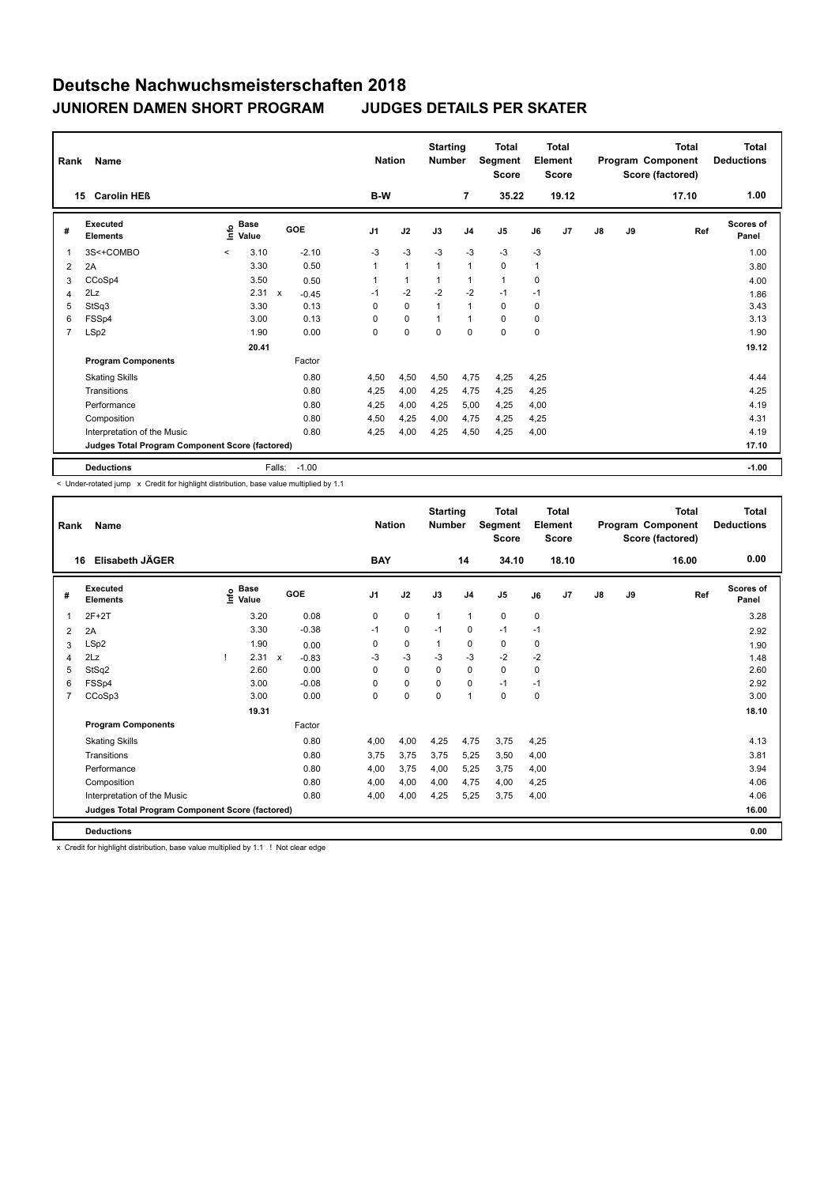| Rank           | <b>Name</b>                                     |         |                      |                           |            |                | <b>Nation</b>  | <b>Starting</b><br><b>Number</b> |                | <b>Total</b><br>Segment<br><b>Score</b> |          | Total<br>Element<br><b>Score</b> |    |    | <b>Total</b><br>Program Component<br>Score (factored) | Total<br><b>Deductions</b> |
|----------------|-------------------------------------------------|---------|----------------------|---------------------------|------------|----------------|----------------|----------------------------------|----------------|-----------------------------------------|----------|----------------------------------|----|----|-------------------------------------------------------|----------------------------|
|                | <b>Carolin HEB</b><br>15                        |         |                      |                           |            | B-W            |                |                                  | $\overline{7}$ | 35.22                                   |          | 19.12                            |    |    | 17.10                                                 | 1.00                       |
| #              | Executed<br><b>Elements</b>                     | ١nfo    | <b>Base</b><br>Value |                           | <b>GOE</b> | J <sub>1</sub> | J2             | J3                               | J <sub>4</sub> | J <sub>5</sub>                          | J6       | J7                               | J8 | J9 | Ref                                                   | <b>Scores of</b><br>Panel  |
| $\mathbf 1$    | 3S<+COMBO                                       | $\prec$ | 3.10                 |                           | $-2.10$    | $-3$           | $-3$           | $-3$                             | $-3$           | $-3$                                    | $-3$     |                                  |    |    |                                                       | 1.00                       |
| 2              | 2A                                              |         | 3.30                 |                           | 0.50       |                | $\mathbf{1}$   | 1                                | $\mathbf{1}$   | 0                                       | 1        |                                  |    |    |                                                       | 3.80                       |
| 3              | CCoSp4                                          |         | 3.50                 |                           | 0.50       |                | $\overline{1}$ |                                  | 1              | $\mathbf{1}$                            | 0        |                                  |    |    |                                                       | 4.00                       |
| 4              | 2Lz                                             |         | 2.31                 | $\boldsymbol{\mathsf{x}}$ | $-0.45$    | $-1$           | $-2$           | $-2$                             | $-2$           | $-1$                                    | $-1$     |                                  |    |    |                                                       | 1.86                       |
| 5              | StSq3                                           |         | 3.30                 |                           | 0.13       | $\Omega$       | $\mathbf 0$    | 1                                | $\overline{1}$ | $\Omega$                                | $\Omega$ |                                  |    |    |                                                       | 3.43                       |
| 6              | FSSp4                                           |         | 3.00                 |                           | 0.13       | $\Omega$       | $\mathbf 0$    | $\mathbf{1}$                     | $\mathbf{1}$   | $\Omega$                                | 0        |                                  |    |    |                                                       | 3.13                       |
| $\overline{7}$ | LSp2                                            |         | 1.90                 |                           | 0.00       | 0              | $\mathbf 0$    | $\mathbf 0$                      | $\mathbf 0$    | $\mathbf 0$                             | 0        |                                  |    |    |                                                       | 1.90                       |
|                |                                                 |         | 20.41                |                           |            |                |                |                                  |                |                                         |          |                                  |    |    |                                                       | 19.12                      |
|                | <b>Program Components</b>                       |         |                      |                           | Factor     |                |                |                                  |                |                                         |          |                                  |    |    |                                                       |                            |
|                | <b>Skating Skills</b>                           |         |                      |                           | 0.80       | 4,50           | 4,50           | 4,50                             | 4,75           | 4,25                                    | 4,25     |                                  |    |    |                                                       | 4.44                       |
|                | Transitions                                     |         |                      |                           | 0.80       | 4,25           | 4,00           | 4,25                             | 4,75           | 4,25                                    | 4,25     |                                  |    |    |                                                       | 4.25                       |
|                | Performance                                     |         |                      |                           | 0.80       | 4,25           | 4,00           | 4,25                             | 5,00           | 4,25                                    | 4,00     |                                  |    |    |                                                       | 4.19                       |
|                | Composition                                     |         |                      |                           | 0.80       | 4,50           | 4,25           | 4,00                             | 4,75           | 4,25                                    | 4,25     |                                  |    |    |                                                       | 4.31                       |
|                | Interpretation of the Music                     |         |                      |                           | 0.80       | 4,25           | 4,00           | 4,25                             | 4,50           | 4,25                                    | 4,00     |                                  |    |    |                                                       | 4.19                       |
|                | Judges Total Program Component Score (factored) |         |                      |                           |            |                |                |                                  |                |                                         |          |                                  |    |    |                                                       | 17.10                      |
|                | <b>Deductions</b>                               |         |                      | Falls:                    | $-1.00$    |                |                |                                  |                |                                         |          |                                  |    |    |                                                       | $-1.00$                    |

-<br>< Under-rotated jump x Credit for highlight distribution, base value multiplied by 1.1

| Rank | Name                                            |                                  |                           |         | <b>Nation</b>  |             | <b>Starting</b><br><b>Number</b> |                | <b>Total</b><br>Segment<br><b>Score</b> |           | Total<br>Element<br><b>Score</b> |               |    | <b>Total</b><br>Program Component<br>Score (factored) | <b>Total</b><br><b>Deductions</b> |
|------|-------------------------------------------------|----------------------------------|---------------------------|---------|----------------|-------------|----------------------------------|----------------|-----------------------------------------|-----------|----------------------------------|---------------|----|-------------------------------------------------------|-----------------------------------|
|      | Elisabeth JÄGER<br>16                           |                                  |                           |         | <b>BAY</b>     |             |                                  | 14             | 34.10                                   |           | 18.10                            |               |    | 16.00                                                 | 0.00                              |
| #    | <b>Executed</b><br><b>Elements</b>              | <b>Base</b><br>e Base<br>⊆ Value | GOE                       |         | J <sub>1</sub> | J2          | J3                               | J <sub>4</sub> | J <sub>5</sub>                          | J6        | J <sub>7</sub>                   | $\mathsf{J}8$ | J9 | Ref                                                   | <b>Scores of</b><br>Panel         |
|      | $2F+2T$                                         | 3.20                             |                           | 0.08    | $\mathbf 0$    | $\mathbf 0$ | $\mathbf{1}$                     | $\mathbf{1}$   | 0                                       | $\pmb{0}$ |                                  |               |    |                                                       | 3.28                              |
| 2    | 2A                                              | 3.30                             |                           | $-0.38$ | $-1$           | $\mathbf 0$ | $-1$                             | $\mathbf 0$    | $-1$                                    | $-1$      |                                  |               |    |                                                       | 2.92                              |
| 3    | LSp2                                            | 1.90                             |                           | 0.00    | 0              | $\mathbf 0$ | 1                                | 0              | 0                                       | 0         |                                  |               |    |                                                       | 1.90                              |
| 4    | 2Lz                                             | 2.31                             | $\boldsymbol{\mathsf{x}}$ | $-0.83$ | $-3$           | $-3$        | $-3$                             | $-3$           | $-2$                                    | $-2$      |                                  |               |    |                                                       | 1.48                              |
| 5    | StSq2                                           | 2.60                             |                           | 0.00    | $\Omega$       | 0           | 0                                | 0              | 0                                       | 0         |                                  |               |    |                                                       | 2.60                              |
| 6    | FSSp4                                           | 3.00                             |                           | $-0.08$ | $\Omega$       | $\mathbf 0$ | $\Omega$                         | 0              | $-1$                                    | $-1$      |                                  |               |    |                                                       | 2.92                              |
| 7    | CCoSp3                                          | 3.00                             |                           | 0.00    | 0              | $\mathbf 0$ | $\Omega$                         | $\mathbf{1}$   | 0                                       | 0         |                                  |               |    |                                                       | 3.00                              |
|      |                                                 | 19.31                            |                           |         |                |             |                                  |                |                                         |           |                                  |               |    |                                                       | 18.10                             |
|      | <b>Program Components</b>                       |                                  |                           | Factor  |                |             |                                  |                |                                         |           |                                  |               |    |                                                       |                                   |
|      | <b>Skating Skills</b>                           |                                  |                           | 0.80    | 4.00           | 4.00        | 4,25                             | 4,75           | 3,75                                    | 4.25      |                                  |               |    |                                                       | 4.13                              |
|      | Transitions                                     |                                  |                           | 0.80    | 3.75           | 3.75        | 3.75                             | 5.25           | 3,50                                    | 4.00      |                                  |               |    |                                                       | 3.81                              |
|      | Performance                                     |                                  |                           | 0.80    | 4,00           | 3,75        | 4,00                             | 5,25           | 3,75                                    | 4,00      |                                  |               |    |                                                       | 3.94                              |
|      | Composition                                     |                                  |                           | 0.80    | 4,00           | 4,00        | 4,00                             | 4,75           | 4,00                                    | 4,25      |                                  |               |    |                                                       | 4.06                              |
|      | Interpretation of the Music                     |                                  |                           | 0.80    | 4,00           | 4,00        | 4,25                             | 5,25           | 3,75                                    | 4,00      |                                  |               |    |                                                       | 4.06                              |
|      | Judges Total Program Component Score (factored) |                                  |                           |         |                |             |                                  |                |                                         |           |                                  |               |    |                                                       | 16.00                             |
|      | <b>Deductions</b>                               |                                  |                           |         |                |             |                                  |                |                                         |           |                                  |               |    |                                                       | 0.00                              |

x Credit for highlight distribution, base value multiplied by 1.1 ! Not clear edge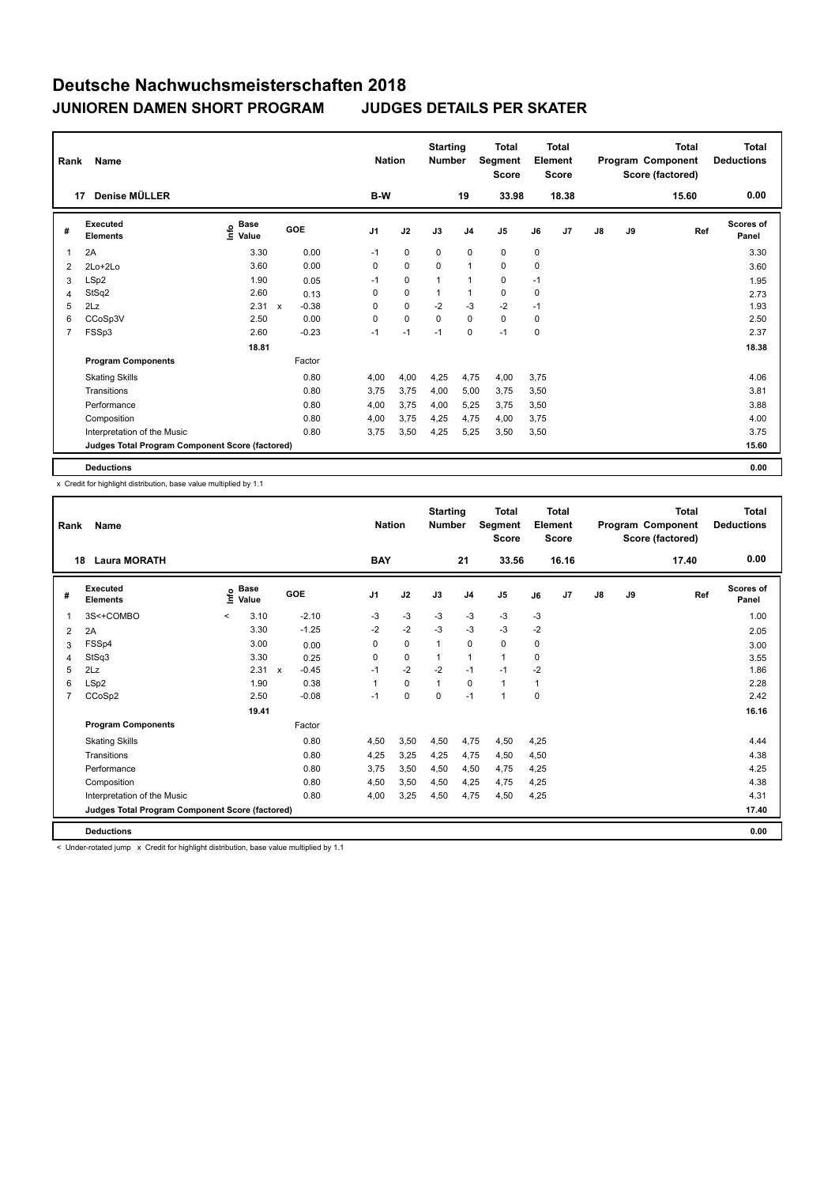| Rank           | Name                                            |                                  |                           |         |                | <b>Nation</b> | <b>Starting</b><br><b>Number</b> |                | Total<br>Segment<br><b>Score</b> |             | <b>Total</b><br>Element<br><b>Score</b> |               |    | Total<br>Program Component<br>Score (factored) | <b>Total</b><br><b>Deductions</b> |
|----------------|-------------------------------------------------|----------------------------------|---------------------------|---------|----------------|---------------|----------------------------------|----------------|----------------------------------|-------------|-----------------------------------------|---------------|----|------------------------------------------------|-----------------------------------|
|                | Denise MÜLLER<br>17                             |                                  |                           |         | B-W            |               |                                  | 19             | 33.98                            |             | 18.38                                   |               |    | 15.60                                          | 0.00                              |
| #              | Executed<br><b>Elements</b>                     | <b>Base</b><br>e Base<br>⊆ Value | GOE                       |         | J <sub>1</sub> | J2            | J3                               | J <sub>4</sub> | J <sub>5</sub>                   | J6          | J7                                      | $\mathsf{J}8$ | J9 | Ref                                            | <b>Scores of</b><br>Panel         |
| 1              | 2A                                              | 3.30                             |                           | 0.00    | $-1$           | $\mathbf 0$   | $\mathbf 0$                      | $\mathbf 0$    | $\mathbf 0$                      | $\mathbf 0$ |                                         |               |    |                                                | 3.30                              |
| 2              | $2Lo+2Lo$                                       | 3.60                             |                           | 0.00    | 0              | $\pmb{0}$     | $\mathbf 0$                      | $\mathbf{1}$   | $\mathbf 0$                      | 0           |                                         |               |    |                                                | 3.60                              |
| 3              | LSp2                                            | 1.90                             |                           | 0.05    | $-1$           | $\mathbf 0$   | $\mathbf{1}$                     | 1              | 0                                | $-1$        |                                         |               |    |                                                | 1.95                              |
| 4              | StSq2                                           | 2.60                             |                           | 0.13    | 0              | $\mathbf 0$   |                                  | $\mathbf{1}$   | $\mathbf 0$                      | 0           |                                         |               |    |                                                | 2.73                              |
| 5              | 2Lz                                             | 2.31                             | $\boldsymbol{\mathsf{x}}$ | $-0.38$ | 0              | $\mathbf 0$   | $-2$                             | $-3$           | $-2$                             | $-1$        |                                         |               |    |                                                | 1.93                              |
| 6              | CCoSp3V                                         | 2.50                             |                           | 0.00    | 0              | $\mathbf 0$   | 0                                | $\mathbf 0$    | $\mathbf 0$                      | 0           |                                         |               |    |                                                | 2.50                              |
| $\overline{7}$ | FSSp3                                           | 2.60                             |                           | $-0.23$ | $-1$           | $-1$          | $-1$                             | $\mathbf 0$    | $-1$                             | 0           |                                         |               |    |                                                | 2.37                              |
|                |                                                 | 18.81                            |                           |         |                |               |                                  |                |                                  |             |                                         |               |    |                                                | 18.38                             |
|                | <b>Program Components</b>                       |                                  |                           | Factor  |                |               |                                  |                |                                  |             |                                         |               |    |                                                |                                   |
|                | <b>Skating Skills</b>                           |                                  |                           | 0.80    | 4,00           | 4,00          | 4,25                             | 4,75           | 4,00                             | 3.75        |                                         |               |    |                                                | 4.06                              |
|                | Transitions                                     |                                  |                           | 0.80    | 3.75           | 3,75          | 4,00                             | 5,00           | 3,75                             | 3,50        |                                         |               |    |                                                | 3.81                              |
|                | Performance                                     |                                  |                           | 0.80    | 4,00           | 3,75          | 4,00                             | 5,25           | 3,75                             | 3,50        |                                         |               |    |                                                | 3.88                              |
|                | Composition                                     |                                  |                           | 0.80    | 4,00           | 3,75          | 4,25                             | 4,75           | 4,00                             | 3,75        |                                         |               |    |                                                | 4.00                              |
|                | Interpretation of the Music                     |                                  |                           | 0.80    | 3.75           | 3,50          | 4,25                             | 5,25           | 3,50                             | 3,50        |                                         |               |    |                                                | 3.75                              |
|                | Judges Total Program Component Score (factored) |                                  |                           |         |                |               |                                  |                |                                  |             |                                         |               |    |                                                | 15.60                             |
|                | <b>Deductions</b>                               |                                  |                           |         |                |               |                                  |                |                                  |             |                                         |               |    |                                                | 0.00                              |

x Credit for highlight distribution, base value multiplied by 1.1

| Rank           | Name                                            |         |                      |                           |            |                | <b>Nation</b> | <b>Starting</b><br><b>Number</b> |                | <b>Total</b><br>Segment<br><b>Score</b> |      | <b>Total</b><br>Element<br><b>Score</b> |               |    | <b>Total</b><br>Program Component<br>Score (factored) | <b>Total</b><br><b>Deductions</b> |
|----------------|-------------------------------------------------|---------|----------------------|---------------------------|------------|----------------|---------------|----------------------------------|----------------|-----------------------------------------|------|-----------------------------------------|---------------|----|-------------------------------------------------------|-----------------------------------|
| 18             | <b>Laura MORATH</b>                             |         |                      |                           |            | <b>BAY</b>     |               |                                  | 21             | 33.56                                   |      | 16.16                                   |               |    | 17.40                                                 | 0.00                              |
| #              | Executed<br><b>Elements</b>                     | ١nf٥    | <b>Base</b><br>Value |                           | <b>GOE</b> | J <sub>1</sub> | J2            | J3                               | J <sub>4</sub> | J5                                      | J6   | J <sub>7</sub>                          | $\mathsf{J}8$ | J9 | Ref                                                   | <b>Scores of</b><br>Panel         |
|                | 3S<+COMBO                                       | $\prec$ | 3.10                 |                           | $-2.10$    | $-3$           | $-3$          | $-3$                             | $-3$           | $-3$                                    | $-3$ |                                         |               |    |                                                       | 1.00                              |
| 2              | 2A                                              |         | 3.30                 |                           | $-1.25$    | $-2$           | $-2$          | $-3$                             | $-3$           | $-3$                                    | $-2$ |                                         |               |    |                                                       | 2.05                              |
| 3              | FSSp4                                           |         | 3.00                 |                           | 0.00       | 0              | $\mathbf 0$   | $\mathbf{1}$                     | $\mathbf 0$    | 0                                       | 0    |                                         |               |    |                                                       | 3.00                              |
| 4              | StSq3                                           |         | 3.30                 |                           | 0.25       | 0              | $\mathbf 0$   | $\mathbf{1}$                     | $\mathbf{1}$   | 1                                       | 0    |                                         |               |    |                                                       | 3.55                              |
| 5              | 2Lz                                             |         | 2.31                 | $\boldsymbol{\mathsf{x}}$ | $-0.45$    | $-1$           | $-2$          | $-2$                             | $-1$           | $-1$                                    | -2   |                                         |               |    |                                                       | 1.86                              |
| 6              | LSp2                                            |         | 1.90                 |                           | 0.38       | 1              | $\Omega$      | $\mathbf{1}$                     | $\Omega$       | 1                                       | 1    |                                         |               |    |                                                       | 2.28                              |
| $\overline{7}$ | CCoSp2                                          |         | 2.50                 |                           | $-0.08$    | $-1$           | $\mathbf 0$   | $\Omega$                         | $-1$           | $\mathbf{1}$                            | 0    |                                         |               |    |                                                       | 2.42                              |
|                |                                                 |         | 19.41                |                           |            |                |               |                                  |                |                                         |      |                                         |               |    |                                                       | 16.16                             |
|                | <b>Program Components</b>                       |         |                      |                           | Factor     |                |               |                                  |                |                                         |      |                                         |               |    |                                                       |                                   |
|                | <b>Skating Skills</b>                           |         |                      |                           | 0.80       | 4.50           | 3,50          | 4,50                             | 4,75           | 4,50                                    | 4.25 |                                         |               |    |                                                       | 4.44                              |
|                | Transitions                                     |         |                      |                           | 0.80       | 4,25           | 3,25          | 4.25                             | 4,75           | 4,50                                    | 4,50 |                                         |               |    |                                                       | 4.38                              |
|                | Performance                                     |         |                      |                           | 0.80       | 3.75           | 3,50          | 4,50                             | 4,50           | 4,75                                    | 4,25 |                                         |               |    |                                                       | 4.25                              |
|                | Composition                                     |         |                      |                           | 0.80       | 4,50           | 3,50          | 4,50                             | 4,25           | 4,75                                    | 4,25 |                                         |               |    |                                                       | 4.38                              |
|                | Interpretation of the Music                     |         |                      |                           | 0.80       | 4,00           | 3,25          | 4,50                             | 4,75           | 4,50                                    | 4,25 |                                         |               |    |                                                       | 4.31                              |
|                | Judges Total Program Component Score (factored) |         |                      |                           |            |                |               |                                  |                |                                         |      |                                         |               |    |                                                       | 17.40                             |
|                | <b>Deductions</b>                               |         |                      |                           |            |                |               |                                  |                |                                         |      |                                         |               |    |                                                       | 0.00                              |

< Under-rotated jump x Credit for highlight distribution, base value multiplied by 1.1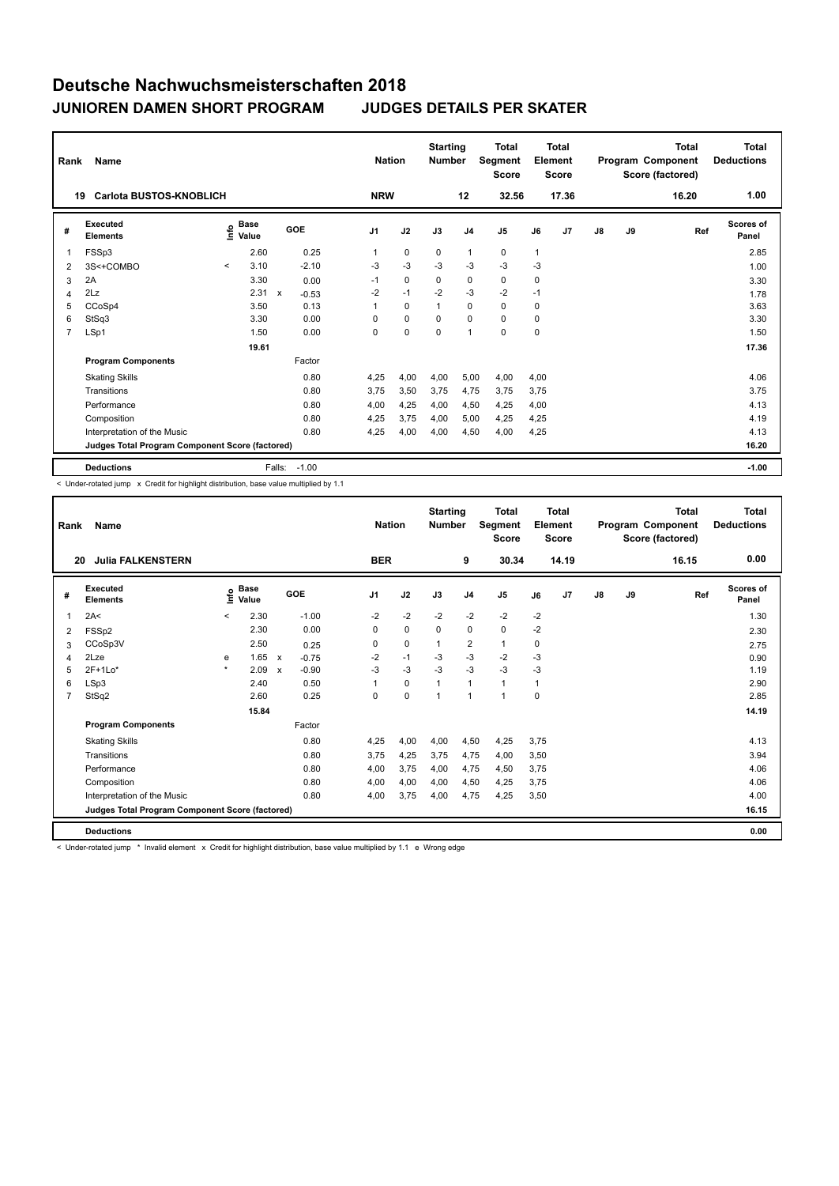| Rank           | <b>Name</b>                                     |         |                                  |              |         |                | <b>Nation</b> |             | <b>Starting</b><br><b>Number</b> |                | <b>Total</b><br>Segment<br><b>Score</b> |      | Total<br>Element<br><b>Score</b> |               |    | <b>Total</b><br>Program Component<br>Score (factored) | <b>Total</b><br><b>Deductions</b> |
|----------------|-------------------------------------------------|---------|----------------------------------|--------------|---------|----------------|---------------|-------------|----------------------------------|----------------|-----------------------------------------|------|----------------------------------|---------------|----|-------------------------------------------------------|-----------------------------------|
| 19             | Carlota BUSTOS-KNOBLICH                         |         |                                  |              |         |                | <b>NRW</b>    |             |                                  | 12             | 32.56                                   |      | 17.36                            |               |    | 16.20                                                 | 1.00                              |
| #              | Executed<br><b>Elements</b>                     |         | <b>Base</b><br>e Base<br>⊆ Value |              | GOE     | J <sub>1</sub> |               | J2          | J3                               | J <sub>4</sub> | J <sub>5</sub>                          | J6   | J <sub>7</sub>                   | $\mathsf{J}8$ | J9 | Ref                                                   | Scores of<br>Panel                |
| $\overline{1}$ | FSSp3                                           |         | 2.60                             |              | 0.25    |                |               | $\mathbf 0$ | $\mathbf 0$                      | $\mathbf{1}$   | $\mathbf 0$                             | 1    |                                  |               |    |                                                       | 2.85                              |
| 2              | 3S<+COMBO                                       | $\prec$ | 3.10                             |              | $-2.10$ | -3             |               | $-3$        | $-3$                             | $-3$           | $-3$                                    | $-3$ |                                  |               |    |                                                       | 1.00                              |
| 3              | 2A                                              |         | 3.30                             |              | 0.00    | $-1$           |               | $\mathbf 0$ | 0                                | 0              | 0                                       | 0    |                                  |               |    |                                                       | 3.30                              |
| 4              | 2Lz                                             |         | 2.31                             | $\mathsf{x}$ | $-0.53$ | $-2$           |               | $-1$        | $-2$                             | $-3$           | $-2$                                    | $-1$ |                                  |               |    |                                                       | 1.78                              |
| 5              | CCoSp4                                          |         | 3.50                             |              | 0.13    |                |               | $\mathbf 0$ | 1                                | $\mathbf 0$    | $\mathbf 0$                             | 0    |                                  |               |    |                                                       | 3.63                              |
| 6              | StSq3                                           |         | 3.30                             |              | 0.00    | 0              |               | $\mathbf 0$ | $\mathbf 0$                      | $\mathbf 0$    | $\mathbf 0$                             | 0    |                                  |               |    |                                                       | 3.30                              |
| 7              | LSp1                                            |         | 1.50                             |              | 0.00    | 0              |               | $\mathbf 0$ | $\mathbf 0$                      | $\mathbf{1}$   | $\mathbf 0$                             | 0    |                                  |               |    |                                                       | 1.50                              |
|                |                                                 |         | 19.61                            |              |         |                |               |             |                                  |                |                                         |      |                                  |               |    |                                                       | 17.36                             |
|                | <b>Program Components</b>                       |         |                                  |              | Factor  |                |               |             |                                  |                |                                         |      |                                  |               |    |                                                       |                                   |
|                | <b>Skating Skills</b>                           |         |                                  |              | 0.80    | 4.25           |               | 4,00        | 4.00                             | 5.00           | 4,00                                    | 4.00 |                                  |               |    |                                                       | 4.06                              |
|                | Transitions                                     |         |                                  |              | 0.80    | 3,75           |               | 3,50        | 3,75                             | 4,75           | 3,75                                    | 3,75 |                                  |               |    |                                                       | 3.75                              |
|                | Performance                                     |         |                                  |              | 0.80    | 4,00           |               | 4,25        | 4,00                             | 4,50           | 4,25                                    | 4,00 |                                  |               |    |                                                       | 4.13                              |
|                | Composition                                     |         |                                  |              | 0.80    | 4,25           |               | 3,75        | 4,00                             | 5,00           | 4,25                                    | 4,25 |                                  |               |    |                                                       | 4.19                              |
|                | Interpretation of the Music                     |         |                                  |              | 0.80    | 4,25           |               | 4,00        | 4,00                             | 4,50           | 4,00                                    | 4,25 |                                  |               |    |                                                       | 4.13                              |
|                | Judges Total Program Component Score (factored) |         |                                  |              |         |                |               |             |                                  |                |                                         |      |                                  |               |    |                                                       | 16.20                             |
|                | <b>Deductions</b>                               |         |                                  | Falls:       | $-1.00$ |                |               |             |                                  |                |                                         |      |                                  |               |    |                                                       | $-1.00$                           |

-<br>< Under-rotated jump x Credit for highlight distribution, base value multiplied by 1.1

| Rank           | Name                                            |         |                      |                           |            |                | <b>Nation</b> | <b>Starting</b><br><b>Number</b> |                | <b>Total</b><br>Segment<br><b>Score</b> |      | <b>Total</b><br>Element<br><b>Score</b> |               |    | <b>Total</b><br>Program Component<br>Score (factored) | <b>Total</b><br><b>Deductions</b> |
|----------------|-------------------------------------------------|---------|----------------------|---------------------------|------------|----------------|---------------|----------------------------------|----------------|-----------------------------------------|------|-----------------------------------------|---------------|----|-------------------------------------------------------|-----------------------------------|
| 20             | <b>Julia FALKENSTERN</b>                        |         |                      |                           |            | <b>BER</b>     |               |                                  | 9              | 30.34                                   |      | 14.19                                   |               |    | 16.15                                                 | 0.00                              |
| #              | Executed<br><b>Elements</b>                     | ١nf٥    | <b>Base</b><br>Value |                           | <b>GOE</b> | J <sub>1</sub> | J2            | J3                               | J <sub>4</sub> | J5                                      | J6   | J <sub>7</sub>                          | $\mathsf{J}8$ | J9 | Ref                                                   | <b>Scores of</b><br>Panel         |
| 1              | 2A<                                             | $\prec$ | 2.30                 |                           | $-1.00$    | $-2$           | $-2$          | $-2$                             | $-2$           | $-2$                                    | $-2$ |                                         |               |    |                                                       | 1.30                              |
| 2              | FSSp2                                           |         | 2.30                 |                           | 0.00       | 0              | $\mathbf 0$   | 0                                | $\mathbf 0$    | 0                                       | $-2$ |                                         |               |    |                                                       | 2.30                              |
| 3              | CCoSp3V                                         |         | 2.50                 |                           | 0.25       | 0              | $\mathbf 0$   | $\mathbf{1}$                     | $\overline{2}$ | $\mathbf{1}$                            | 0    |                                         |               |    |                                                       | 2.75                              |
| $\overline{4}$ | 2Lze                                            | e       | 1.65                 | $\boldsymbol{\mathsf{x}}$ | $-0.75$    | $-2$           | $-1$          | $-3$                             | $-3$           | $-2$                                    | -3   |                                         |               |    |                                                       | 0.90                              |
| 5              | $2F+1Lo*$                                       | $\star$ | 2.09                 | $\boldsymbol{\mathsf{x}}$ | $-0.90$    | $-3$           | $-3$          | $-3$                             | $-3$           | $-3$                                    | -3   |                                         |               |    |                                                       | 1.19                              |
| 6              | LSp3                                            |         | 2.40                 |                           | 0.50       | 1              | $\mathbf 0$   | $\mathbf{1}$                     | $\mathbf{1}$   | 1                                       | 1    |                                         |               |    |                                                       | 2.90                              |
| $\overline{7}$ | StSq2                                           |         | 2.60                 |                           | 0.25       | $\Omega$       | $\mathbf 0$   | $\overline{1}$                   | $\overline{1}$ | 1                                       | 0    |                                         |               |    |                                                       | 2.85                              |
|                |                                                 |         | 15.84                |                           |            |                |               |                                  |                |                                         |      |                                         |               |    |                                                       | 14.19                             |
|                | <b>Program Components</b>                       |         |                      |                           | Factor     |                |               |                                  |                |                                         |      |                                         |               |    |                                                       |                                   |
|                | <b>Skating Skills</b>                           |         |                      |                           | 0.80       | 4.25           | 4.00          | 4,00                             | 4,50           | 4,25                                    | 3.75 |                                         |               |    |                                                       | 4.13                              |
|                | Transitions                                     |         |                      |                           | 0.80       | 3.75           | 4,25          | 3.75                             | 4.75           | 4,00                                    | 3,50 |                                         |               |    |                                                       | 3.94                              |
|                | Performance                                     |         |                      |                           | 0.80       | 4,00           | 3,75          | 4,00                             | 4,75           | 4,50                                    | 3,75 |                                         |               |    |                                                       | 4.06                              |
|                | Composition                                     |         |                      |                           | 0.80       | 4,00           | 4,00          | 4,00                             | 4,50           | 4,25                                    | 3,75 |                                         |               |    |                                                       | 4.06                              |
|                | Interpretation of the Music                     |         |                      |                           | 0.80       | 4,00           | 3,75          | 4,00                             | 4,75           | 4,25                                    | 3,50 |                                         |               |    |                                                       | 4.00                              |
|                | Judges Total Program Component Score (factored) |         |                      |                           |            |                |               |                                  |                |                                         |      |                                         |               |    |                                                       | 16.15                             |
|                | <b>Deductions</b>                               |         |                      |                           |            |                |               |                                  |                |                                         |      |                                         |               |    |                                                       | 0.00                              |

< Under-rotated jump \* Invalid element x Credit for highlight distribution, base value multiplied by 1.1 e Wrong edge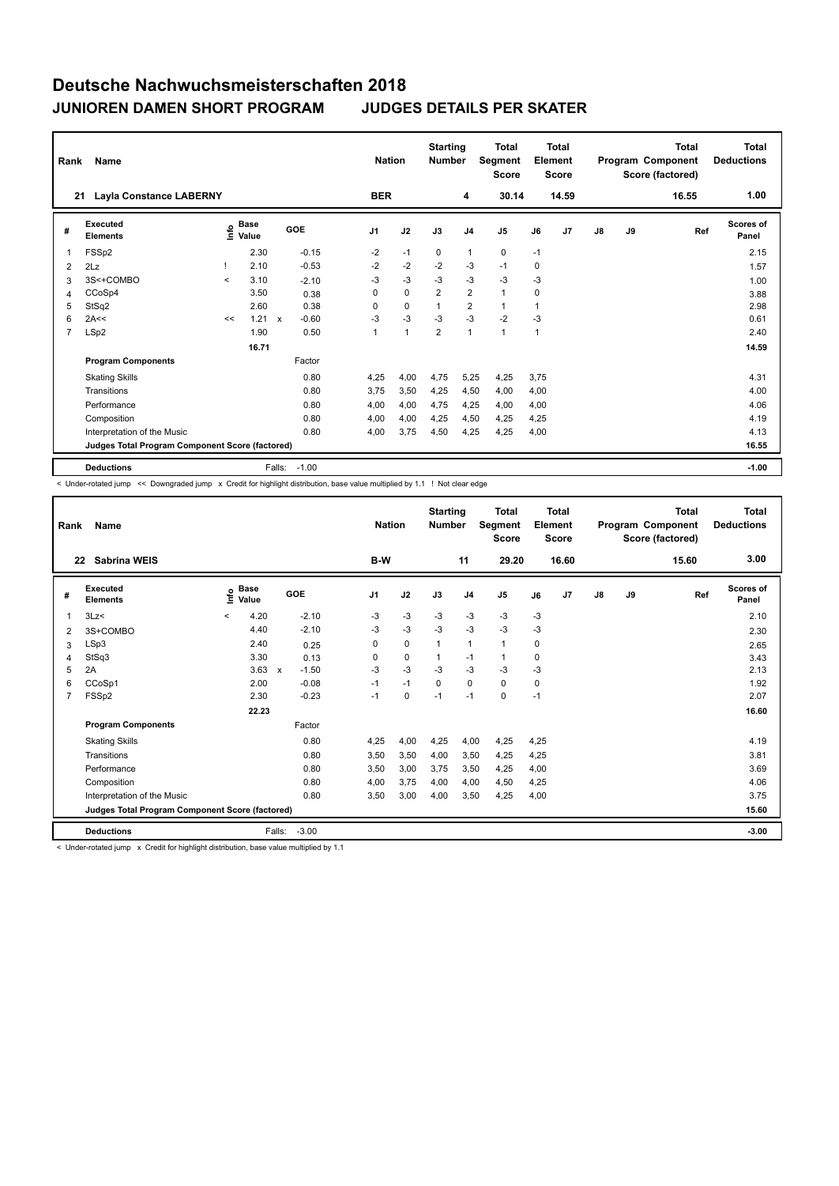| Rank           | <b>Name</b>                                     |         |                                    | <b>Nation</b> | <b>Starting</b><br><b>Number</b> |                | <b>Total</b><br>Segment<br><b>Score</b> |                | <b>Total</b><br>Element<br><b>Score</b> |                |      | <b>Total</b><br>Program Component<br>Score (factored) | <b>Total</b><br><b>Deductions</b> |    |       |                           |
|----------------|-------------------------------------------------|---------|------------------------------------|---------------|----------------------------------|----------------|-----------------------------------------|----------------|-----------------------------------------|----------------|------|-------------------------------------------------------|-----------------------------------|----|-------|---------------------------|
| 21             | <b>Layla Constance LABERNY</b>                  |         |                                    |               |                                  | <b>BER</b>     |                                         |                | 4                                       | 30.14          |      | 14.59                                                 |                                   |    | 16.55 | 1.00                      |
| #              | Executed<br><b>Elements</b>                     |         | <b>Base</b><br>$\frac{6}{5}$ Value |               | <b>GOE</b>                       | J <sub>1</sub> | J2                                      | J3             | J <sub>4</sub>                          | J <sub>5</sub> | J6   | J7                                                    | $\mathsf{J}8$                     | J9 | Ref   | <b>Scores of</b><br>Panel |
| $\mathbf{1}$   | FSSp2                                           |         | 2.30                               |               | $-0.15$                          | $-2$           | $-1$                                    | 0              | $\mathbf{1}$                            | 0              | $-1$ |                                                       |                                   |    |       | 2.15                      |
| 2              | 2Lz                                             |         | 2.10                               |               | $-0.53$                          | $-2$           | $-2$                                    | $-2$           | -3                                      | $-1$           | 0    |                                                       |                                   |    |       | 1.57                      |
| 3              | 3S<+COMBO                                       | $\prec$ | 3.10                               |               | $-2.10$                          | -3             | $-3$                                    | $-3$           | $-3$                                    | $-3$           | -3   |                                                       |                                   |    |       | 1.00                      |
| 4              | CCoSp4                                          |         | 3.50                               |               | 0.38                             | 0              | $\mathbf 0$                             | $\overline{2}$ | $\overline{\mathbf{c}}$                 | 1              | 0    |                                                       |                                   |    |       | 3.88                      |
| 5              | StSq2                                           |         | 2.60                               |               | 0.38                             | 0              | $\mathbf 0$                             | $\mathbf{1}$   | $\overline{2}$                          | 1              | 1    |                                                       |                                   |    |       | 2.98                      |
| 6              | 2A<<                                            | <<      | 1.21                               | $\mathbf{x}$  | $-0.60$                          | $-3$           | $-3$                                    | $-3$           | $-3$                                    | $-2$           | $-3$ |                                                       |                                   |    |       | 0.61                      |
| $\overline{7}$ | LSp2                                            |         | 1.90                               |               | 0.50                             | 1              | 1                                       | $\overline{2}$ | $\mathbf{1}$                            | $\mathbf{1}$   | 1    |                                                       |                                   |    |       | 2.40                      |
|                |                                                 |         | 16.71                              |               |                                  |                |                                         |                |                                         |                |      |                                                       |                                   |    |       | 14.59                     |
|                | <b>Program Components</b>                       |         |                                    |               | Factor                           |                |                                         |                |                                         |                |      |                                                       |                                   |    |       |                           |
|                | <b>Skating Skills</b>                           |         |                                    |               | 0.80                             | 4,25           | 4,00                                    | 4,75           | 5,25                                    | 4,25           | 3,75 |                                                       |                                   |    |       | 4.31                      |
|                | Transitions                                     |         |                                    |               | 0.80                             | 3.75           | 3,50                                    | 4,25           | 4,50                                    | 4,00           | 4,00 |                                                       |                                   |    |       | 4.00                      |
|                | Performance                                     |         |                                    |               | 0.80                             | 4,00           | 4,00                                    | 4,75           | 4,25                                    | 4,00           | 4,00 |                                                       |                                   |    |       | 4.06                      |
|                | Composition                                     |         |                                    |               | 0.80                             | 4,00           | 4,00                                    | 4,25           | 4,50                                    | 4,25           | 4,25 |                                                       |                                   |    |       | 4.19                      |
|                | Interpretation of the Music                     |         |                                    |               | 0.80                             | 4,00           | 3,75                                    | 4,50           | 4,25                                    | 4,25           | 4,00 |                                                       |                                   |    |       | 4.13                      |
|                | Judges Total Program Component Score (factored) |         |                                    |               |                                  |                |                                         |                |                                         |                |      |                                                       |                                   |    |       | 16.55                     |
|                | <b>Deductions</b>                               |         |                                    | Falls:        | $-1.00$                          |                |                                         |                |                                         |                |      |                                                       |                                   |    |       | $-1.00$                   |

< Under-rotated jump << Downgraded jump x Credit for highlight distribution, base value multiplied by 1.1 ! Not clear edge

| Rank           | Name                                            |         | <b>Nation</b>        |              | <b>Starting</b><br><b>Number</b> |                | <b>Total</b><br>Segment<br><b>Score</b> |              | <b>Total</b><br>Element<br><b>Score</b> |              |      | <b>Total</b><br>Program Component<br>Score (factored) | <b>Total</b><br><b>Deductions</b> |    |       |                           |
|----------------|-------------------------------------------------|---------|----------------------|--------------|----------------------------------|----------------|-----------------------------------------|--------------|-----------------------------------------|--------------|------|-------------------------------------------------------|-----------------------------------|----|-------|---------------------------|
| 22             | <b>Sabrina WEIS</b>                             |         |                      |              |                                  | B-W            |                                         |              | 11                                      | 29.20        |      | 16.60                                                 |                                   |    | 15.60 | 3.00                      |
| #              | Executed<br><b>Elements</b>                     | ۴ů      | <b>Base</b><br>Value |              | GOE                              | J <sub>1</sub> | J2                                      | J3           | J <sub>4</sub>                          | J5           | J6   | J <sub>7</sub>                                        | J8                                | J9 | Ref   | <b>Scores of</b><br>Panel |
| 1              | 3Lz                                             | $\prec$ | 4.20                 |              | $-2.10$                          | -3             | $-3$                                    | $-3$         | $-3$                                    | $-3$         | $-3$ |                                                       |                                   |    |       | 2.10                      |
| 2              | 3S+COMBO                                        |         | 4.40                 |              | $-2.10$                          | $-3$           | $-3$                                    | $-3$         | $-3$                                    | $-3$         | $-3$ |                                                       |                                   |    |       | 2.30                      |
| 3              | LSp3                                            |         | 2.40                 |              | 0.25                             | 0              | $\mathbf 0$                             | $\mathbf{1}$ | $\mathbf{1}$                            | $\mathbf{1}$ | 0    |                                                       |                                   |    |       | 2.65                      |
| $\overline{4}$ | StSq3                                           |         | 3.30                 |              | 0.13                             | 0              | $\mathbf 0$                             | $\mathbf{1}$ | $-1$                                    | $\mathbf{1}$ | 0    |                                                       |                                   |    |       | 3.43                      |
| 5              | 2A                                              |         | 3.63                 | $\mathsf{x}$ | $-1.50$                          | $-3$           | $-3$                                    | $-3$         | $-3$                                    | $-3$         | -3   |                                                       |                                   |    |       | 2.13                      |
| 6              | CCoSp1                                          |         | 2.00                 |              | $-0.08$                          | $-1$           | $-1$                                    | $\Omega$     | $\Omega$                                | $\Omega$     | 0    |                                                       |                                   |    |       | 1.92                      |
| $\overline{7}$ | FSSp2                                           |         | 2.30                 |              | $-0.23$                          | $-1$           | 0                                       | $-1$         | $-1$                                    | 0            | $-1$ |                                                       |                                   |    |       | 2.07                      |
|                |                                                 |         | 22.23                |              |                                  |                |                                         |              |                                         |              |      |                                                       |                                   |    |       | 16.60                     |
|                | <b>Program Components</b>                       |         |                      |              | Factor                           |                |                                         |              |                                         |              |      |                                                       |                                   |    |       |                           |
|                | <b>Skating Skills</b>                           |         |                      |              | 0.80                             | 4.25           | 4.00                                    | 4.25         | 4,00                                    | 4,25         | 4.25 |                                                       |                                   |    |       | 4.19                      |
|                | Transitions                                     |         |                      |              | 0.80                             | 3,50           | 3,50                                    | 4,00         | 3,50                                    | 4,25         | 4,25 |                                                       |                                   |    |       | 3.81                      |
|                | Performance                                     |         |                      |              | 0.80                             | 3,50           | 3,00                                    | 3,75         | 3,50                                    | 4,25         | 4,00 |                                                       |                                   |    |       | 3.69                      |
|                | Composition                                     |         |                      |              | 0.80                             | 4,00           | 3,75                                    | 4,00         | 4,00                                    | 4,50         | 4,25 |                                                       |                                   |    |       | 4.06                      |
|                | Interpretation of the Music                     |         |                      |              | 0.80                             | 3,50           | 3,00                                    | 4,00         | 3,50                                    | 4,25         | 4,00 |                                                       |                                   |    |       | 3.75                      |
|                | Judges Total Program Component Score (factored) |         |                      |              |                                  |                |                                         |              |                                         |              |      |                                                       |                                   |    |       | 15.60                     |
|                | <b>Deductions</b>                               |         |                      | Falls:       | $-3.00$                          |                |                                         |              |                                         |              |      |                                                       |                                   |    |       | $-3.00$                   |

< Under-rotated jump x Credit for highlight distribution, base value multiplied by 1.1